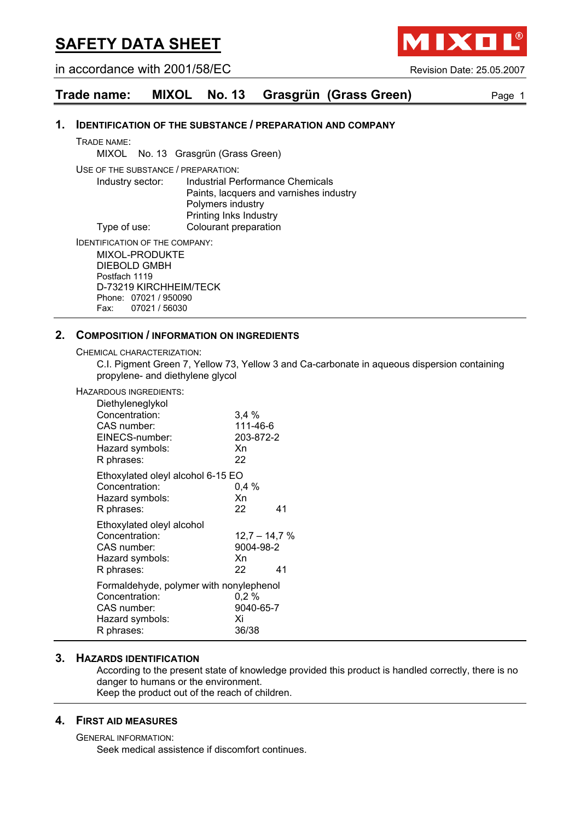in accordance with 2001/58/EC Revision Date: 25.05.2007

IXO

**Trade name: MIXOL No. 13 Grasgrün (Grass Green)** Page 1

#### **1. IDENTIFICATION OF THE SUBSTANCE / PREPARATION AND COMPANY**

TRADE NAME:

MIXOL No. 13 Grasgrün (Grass Green)

USE OF THE SUBSTANCE / PREPARATION:

Industry sector: Industrial Performance Chemicals Paints, lacquers and varnishes industry Polymers industry Printing Inks Industry Type of use: Colourant preparation

IDENTIFICATION OF THE COMPANY:

MIXOL-PRODUKTE DIEBOLD GMBH Postfach 1119 D-73219 KIRCHHEIM/TECK Phone: 07021 / 950090 Fax: 07021 / 56030

#### **2. COMPOSITION / INFORMATION ON INGREDIENTS**

CHEMICAL CHARACTERIZATION:

C.I. Pigment Green 7, Yellow 73, Yellow 3 and Ca-carbonate in aqueous dispersion containing propylene- and diethylene glycol

| HAZARDOUS INGREDIENTS:                                                                                    |                                          |    |
|-----------------------------------------------------------------------------------------------------------|------------------------------------------|----|
| Diethyleneglykol<br>Concentration:<br>CAS number:                                                         | 3.4%<br>111-46-6                         |    |
| EINECS-number:<br>Hazard symbols:<br>R phrases:                                                           | 203-872-2<br>Xn<br>22                    |    |
| Ethoxylated oleyl alcohol 6-15 EO<br>Concentration:<br>Hazard symbols:<br>R phrases:                      | $0.4\%$<br>Xn<br>22                      | 41 |
| Ethoxylated oleyl alcohol<br>Concentration:<br>CAS number:<br>Hazard symbols:<br>R phrases:               | $12.7 - 14.7 %$<br>9004-98-2<br>Xn<br>22 | 41 |
| Formaldehyde, polymer with nonylephenol<br>Concentration:<br>CAS number:<br>Hazard symbols:<br>R phrases: | 0,2%<br>9040-65-7<br>Xi<br>36/38         |    |

#### **3. HAZARDS IDENTIFICATION**

According to the present state of knowledge provided this product is handled correctly, there is no danger to humans or the environment. Keep the product out of the reach of children.

#### **4. FIRST AID MEASURES**

GENERAL INFORMATION: Seek medical assistence if discomfort continues.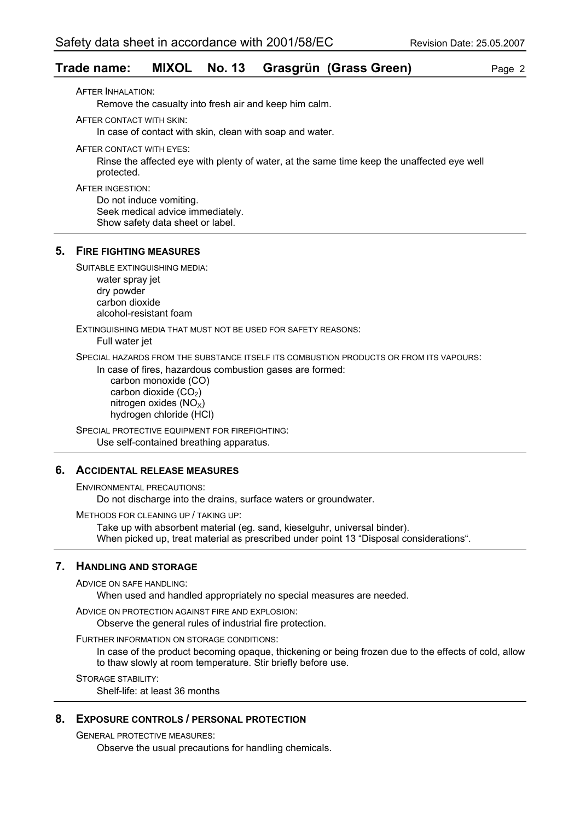#### **Trade name: MIXOL No. 13 Grasgrün (Grass Green)** Page 2

AFTER INHALATION: Remove the casualty into fresh air and keep him calm. AFTER CONTACT WITH SKIN: In case of contact with skin, clean with soap and water. AFTER CONTACT WITH EYES: Rinse the affected eye with plenty of water, at the same time keep the unaffected eye well protected. AFTER INGESTION: Do not induce vomiting. Seek medical advice immediately. Show safety data sheet or label. **5. FIRE FIGHTING MEASURES** SUITABLE EXTINGUISHING MEDIA: water spray jet dry powder carbon dioxide alcohol-resistant foam EXTINGUISHING MEDIA THAT MUST NOT BE USED FOR SAFETY REASONS: Full water jet SPECIAL HAZARDS FROM THE SUBSTANCE ITSELF ITS COMBUSTION PRODUCTS OR FROM ITS VAPOURS: In case of fires, hazardous combustion gases are formed: carbon monoxide (CO) carbon dioxide  $(CO<sub>2</sub>)$ nitrogen oxides  $(NO_x)$  hydrogen chloride (HCl) SPECIAL PROTECTIVE EQUIPMENT FOR FIREFIGHTING: Use self-contained breathing apparatus. **6. ACCIDENTAL RELEASE MEASURES**

ENVIRONMENTAL PRECAUTIONS:

Do not discharge into the drains, surface waters or groundwater.

METHODS FOR CLEANING UP / TAKING UP:

Take up with absorbent material (eg. sand, kieselguhr, universal binder). When picked up, treat material as prescribed under point 13 "Disposal considerations".

#### **7. HANDLING AND STORAGE**

ADVICE ON SAFE HANDLING:

When used and handled appropriately no special measures are needed.

ADVICE ON PROTECTION AGAINST FIRE AND EXPLOSION:

Observe the general rules of industrial fire protection.

FURTHER INFORMATION ON STORAGE CONDITIONS:

In case of the product becoming opaque, thickening or being frozen due to the effects of cold, allow to thaw slowly at room temperature. Stir briefly before use.

STORAGE STABILITY:

Shelf-life: at least 36 months

#### **8. EXPOSURE CONTROLS / PERSONAL PROTECTION**

GENERAL PROTECTIVE MEASURES:

Observe the usual precautions for handling chemicals.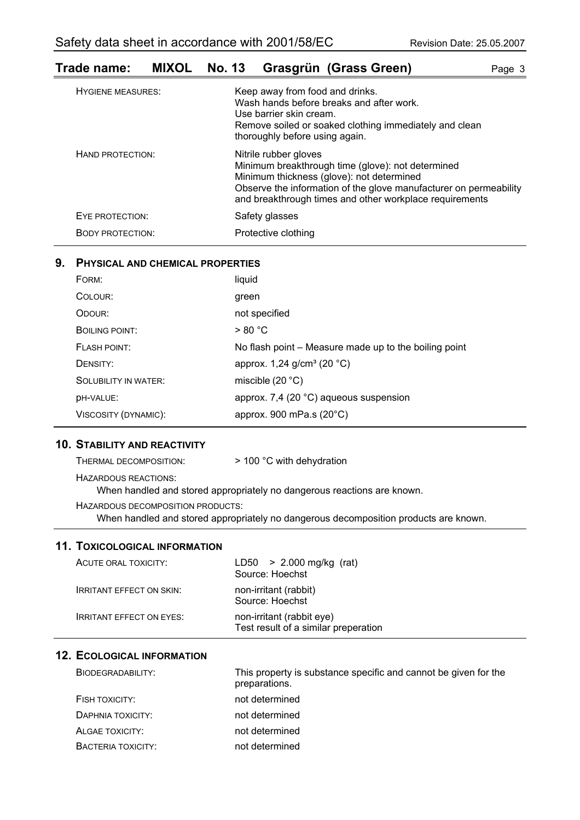### **Trade name: MIXOL No. 13 Grasgrün (Grass Green)** Page 3

| <b>HYGIENE MEASURES:</b> | Keep away from food and drinks.<br>Wash hands before breaks and after work.<br>Use barrier skin cream.<br>Remove soiled or soaked clothing immediately and clean<br>thoroughly before using again.                                                      |
|--------------------------|---------------------------------------------------------------------------------------------------------------------------------------------------------------------------------------------------------------------------------------------------------|
| HAND PROTECTION:         | Nitrile rubber gloves<br>Minimum breakthrough time (glove): not determined<br>Minimum thickness (glove): not determined<br>Observe the information of the glove manufacturer on permeability<br>and breakthrough times and other workplace requirements |
| EYE PROTECTION:          | Safety glasses                                                                                                                                                                                                                                          |
| <b>BODY PROTECTION:</b>  | Protective clothing                                                                                                                                                                                                                                     |

#### **9. PHYSICAL AND CHEMICAL PROPERTIES**

| FORM:                       | liquid                                                |
|-----------------------------|-------------------------------------------------------|
| COLOUR:                     | green                                                 |
| ODOUR:                      | not specified                                         |
| BOILING POINT:              | > 80 °C                                               |
| FLASH POINT:                | No flash point – Measure made up to the boiling point |
| DENSITY:                    | approx. $1,24$ g/cm <sup>3</sup> (20 °C)              |
| <b>SOLUBILITY IN WATER:</b> | miscible $(20 °C)$                                    |
| DH-VALUE:                   | approx. 7,4 (20 °C) aqueous suspension                |
| VISCOSITY (DYNAMIC):        | approx. 900 mPa.s $(20^{\circ}C)$                     |

#### **10. STABILITY AND REACTIVITY**

| THERMAL DECOMPOSITION:            | > 100 °C with dehydration                                               |
|-----------------------------------|-------------------------------------------------------------------------|
| HAZARDOUS REACTIONS:              | When handled and stored appropriately no dangerous reactions are known. |
| HAZARDOUS DECOMPOSITION PRODUCTS: |                                                                         |

When handled and stored appropriately no dangerous decomposition products are known.

#### **11. TOXICOLOGICAL INFORMATION**

| ACUTE ORAL TOXICITY:            | $LD50 > 2.000$ mg/kg (rat)<br>Source: Hoechst                     |
|---------------------------------|-------------------------------------------------------------------|
| <b>IRRITANT EFFECT ON SKIN:</b> | non-irritant (rabbit)<br>Source: Hoechst                          |
| <b>IRRITANT EFFECT ON EYES:</b> | non-irritant (rabbit eye)<br>Test result of a similar preperation |

#### **12. ECOLOGICAL INFORMATION**

| BIODEGRADABILITY:  | This property is substance specific and cannot be given for the<br>preparations. |
|--------------------|----------------------------------------------------------------------------------|
| FISH TOXICITY:     | not determined                                                                   |
| DAPHNIA TOXICITY:  | not determined                                                                   |
| ALGAE TOXICITY:    | not determined                                                                   |
| BACTERIA TOXICITY: | not determined                                                                   |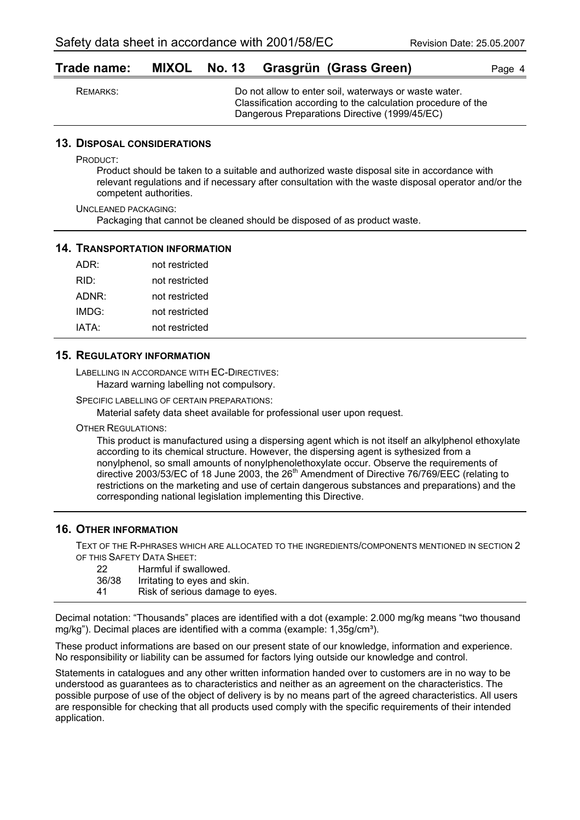#### **Trade name: MIXOL No. 13 Grasgrün (Grass Green)** Page 4

| REMARKS: | Do not allow to enter soil, waterways or waste water.<br>Classification according to the calculation procedure of the |
|----------|-----------------------------------------------------------------------------------------------------------------------|
|          | Dangerous Preparations Directive (1999/45/EC)                                                                         |

#### **13. DISPOSAL CONSIDERATIONS**

PRODUCT:

Product should be taken to a suitable and authorized waste disposal site in accordance with relevant regulations and if necessary after consultation with the waste disposal operator and/or the competent authorities.

UNCLEANED PACKAGING: Packaging that cannot be cleaned should be disposed of as product waste.

#### **14. TRANSPORTATION INFORMATION**

| ADR:  | not restricted |
|-------|----------------|
| RID:  | not restricted |
| ADNR: | not restricted |
| IMDG: | not restricted |
| IATA: | not restricted |

#### **15. REGULATORY INFORMATION**

LABELLING IN ACCORDANCE WITH EC-DIRECTIVES: Hazard warning labelling not compulsory.

SPECIFIC LABELLING OF CERTAIN PREPARATIONS:

Material safety data sheet available for professional user upon request.

OTHER REGULATIONS:

This product is manufactured using a dispersing agent which is not itself an alkylphenol ethoxylate according to its chemical structure. However, the dispersing agent is sythesized from a nonylphenol, so small amounts of nonylphenolethoxylate occur. Observe the requirements of directive 2003/53/EC of 18 June 2003, the 26<sup>th</sup> Amendment of Directive 76/769/EEC (relating to restrictions on the marketing and use of certain dangerous substances and preparations) and the corresponding national legislation implementing this Directive.

#### **16. OTHER INFORMATION**

TEXT OF THE R-PHRASES WHICH ARE ALLOCATED TO THE INGREDIENTS/COMPONENTS MENTIONED IN SECTION 2 OF THIS SAFETY DATA SHEET:

- 22 Harmful if swallowed.
- 36/38 Irritating to eyes and skin.<br>41 Risk of serious damage to
- Risk of serious damage to eyes.

Decimal notation: "Thousands" places are identified with a dot (example: 2.000 mg/kg means "two thousand mg/kg"). Decimal places are identified with a comma (example: 1.35g/cm<sup>3</sup>).

These product informations are based on our present state of our knowledge, information and experience. No responsibility or liability can be assumed for factors lying outside our knowledge and control.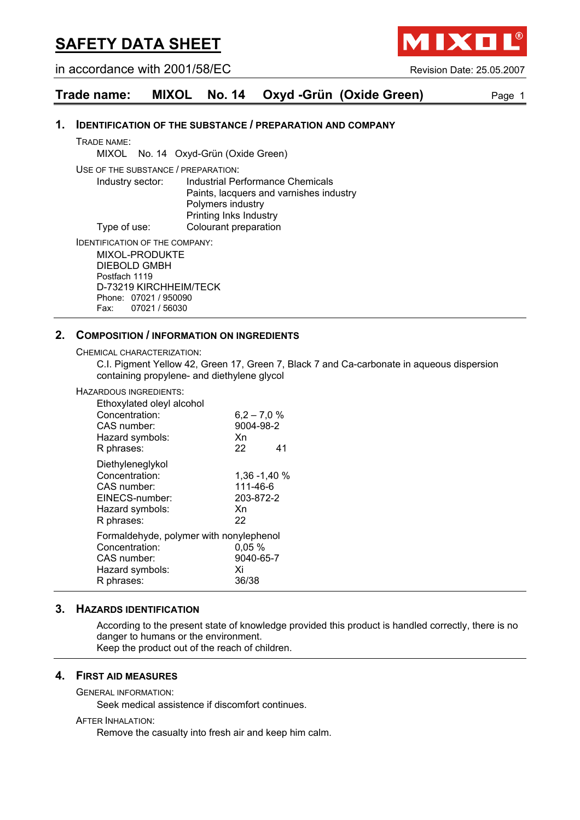in accordance with 2001/58/EC Revision Date: 25.05.2007

IXO

**Trade name: MIXOL No. 14 Oxyd -Grün (Oxide Green)** Page 1

#### **1. IDENTIFICATION OF THE SUBSTANCE / PREPARATION AND COMPANY**

TRADE NAME:

MIXOL No. 14 Oxyd-Grün (Oxide Green)

USE OF THE SUBSTANCE / PREPARATION:

Industry sector: Industrial Performance Chemicals Paints, lacquers and varnishes industry Polymers industry Printing Inks Industry Type of use: Colourant preparation

IDENTIFICATION OF THE COMPANY:

MIXOL-PRODUKTE DIEBOLD GMBH Postfach 1119 D-73219 KIRCHHEIM/TECK Phone: 07021 / 950090 Fax: 07021 / 56030

#### **2. COMPOSITION / INFORMATION ON INGREDIENTS**

CHEMICAL CHARACTERIZATION:

C.I. Pigment Yellow 42, Green 17, Green 7, Black 7 and Ca-carbonate in aqueous dispersion containing propylene- and diethylene glycol

#### HAZARDOUS INGREDIENTS:

| Ethoxylated oleyl alcohol<br>Concentration:<br>CAS number:<br>Hazard symbols:<br>R phrases:               | $6,2 - 7,0 %$<br>9004-98-2<br>Xn<br>22            | 41 |
|-----------------------------------------------------------------------------------------------------------|---------------------------------------------------|----|
| Diethyleneglykol<br>Concentration:<br>CAS number:<br>EINECS-number:<br>Hazard symbols:<br>R phrases:      | 1,36 -1,40 %<br>111-46-6<br>203-872-2<br>Xn<br>22 |    |
| Formaldehyde, polymer with nonylephenol<br>Concentration:<br>CAS number:<br>Hazard symbols:<br>R phrases: | 0,05%<br>9040-65-7<br>Xi<br>36/38                 |    |

#### **3. HAZARDS IDENTIFICATION**

According to the present state of knowledge provided this product is handled correctly, there is no danger to humans or the environment. Keep the product out of the reach of children.

#### **4. FIRST AID MEASURES**

GENERAL INFORMATION:

Seek medical assistence if discomfort continues.

#### AFTER INHALATION:

Remove the casualty into fresh air and keep him calm.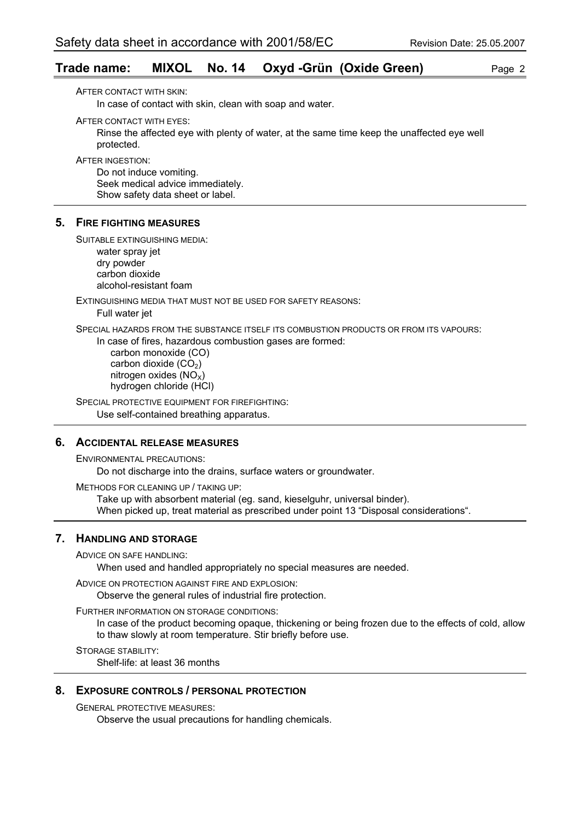#### **Trade name: MIXOL No. 14 Oxyd -Grün (Oxide Green)** Page 2

AFTER CONTACT WITH SKIN:

In case of contact with skin, clean with soap and water.

AFTER CONTACT WITH EYES:

Rinse the affected eye with plenty of water, at the same time keep the unaffected eye well protected.

AFTER INGESTION:

Do not induce vomiting. Seek medical advice immediately. Show safety data sheet or label.

#### **5. FIRE FIGHTING MEASURES**

SUITABLE EXTINGUISHING MEDIA:

water spray jet dry powder carbon dioxide alcohol-resistant foam

EXTINGUISHING MEDIA THAT MUST NOT BE USED FOR SAFETY REASONS:

Full water jet

SPECIAL HAZARDS FROM THE SUBSTANCE ITSELF ITS COMBUSTION PRODUCTS OR FROM ITS VAPOURS:

In case of fires, hazardous combustion gases are formed:

 carbon monoxide (CO) carbon dioxide  $(CO<sub>2</sub>)$ nitrogen oxides  $(NO<sub>x</sub>)$ hydrogen chloride (HCl)

SPECIAL PROTECTIVE EQUIPMENT FOR FIREFIGHTING: Use self-contained breathing apparatus.

#### **6. ACCIDENTAL RELEASE MEASURES**

ENVIRONMENTAL PRECAUTIONS:

Do not discharge into the drains, surface waters or groundwater.

METHODS FOR CLEANING UP / TAKING UP:

Take up with absorbent material (eg. sand, kieselguhr, universal binder). When picked up, treat material as prescribed under point 13 "Disposal considerations".

#### **7. HANDLING AND STORAGE**

ADVICE ON SAFE HANDLING:

When used and handled appropriately no special measures are needed.

ADVICE ON PROTECTION AGAINST FIRE AND EXPLOSION:

Observe the general rules of industrial fire protection.

FURTHER INFORMATION ON STORAGE CONDITIONS:

In case of the product becoming opaque, thickening or being frozen due to the effects of cold, allow to thaw slowly at room temperature. Stir briefly before use.

STORAGE STABILITY:

Shelf-life: at least 36 months

#### **8. EXPOSURE CONTROLS / PERSONAL PROTECTION**

GENERAL PROTECTIVE MEASURES:

Observe the usual precautions for handling chemicals.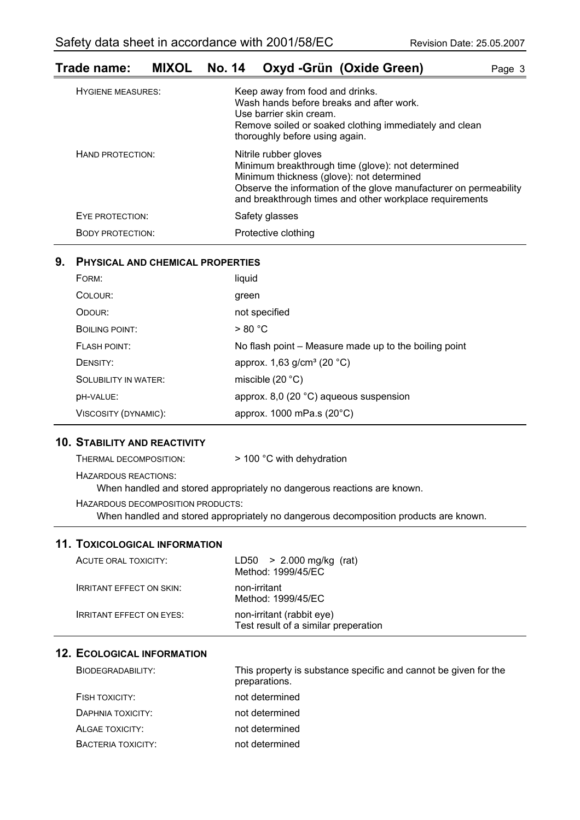### **Trade name: MIXOL No. 14 Oxyd -Grün (Oxide Green)** Page 3

| <b>HYGIENE MEASURES:</b> | Keep away from food and drinks.<br>Wash hands before breaks and after work.<br>Use barrier skin cream.<br>Remove soiled or soaked clothing immediately and clean<br>thoroughly before using again.                                                      |
|--------------------------|---------------------------------------------------------------------------------------------------------------------------------------------------------------------------------------------------------------------------------------------------------|
| HAND PROTECTION:         | Nitrile rubber gloves<br>Minimum breakthrough time (glove): not determined<br>Minimum thickness (glove): not determined<br>Observe the information of the glove manufacturer on permeability<br>and breakthrough times and other workplace requirements |
| EYE PROTECTION:          | Safety glasses                                                                                                                                                                                                                                          |
| <b>BODY PROTECTION:</b>  | Protective clothing                                                                                                                                                                                                                                     |

#### **9. PHYSICAL AND CHEMICAL PROPERTIES**

| FORM:                | liquid                                                |
|----------------------|-------------------------------------------------------|
| COLOUR:              | green                                                 |
| ODOUR:               | not specified                                         |
| BOILING POINT:       | > 80 °C                                               |
| FLASH POINT:         | No flash point – Measure made up to the boiling point |
| DENSITY:             | approx. 1,63 g/cm <sup>3</sup> (20 °C)                |
| SOLUBILITY IN WATER: | miscible $(20 °C)$                                    |
| DH-VALUE:            | approx. 8,0 (20 $^{\circ}$ C) aqueous suspension      |
| VISCOSITY (DYNAMIC): | approx. 1000 mPa.s (20°C)                             |

#### **10. STABILITY AND REACTIVITY**

| THERMAL DECOMPOSITION:            | $>$ 100 °C with dehydration                                             |
|-----------------------------------|-------------------------------------------------------------------------|
| HAZARDOUS REACTIONS:              | When handled and stored appropriately no dangerous reactions are known. |
| HAZARDOUS DECOMPOSITION PRODUCTS: |                                                                         |

When handled and stored appropriately no dangerous decomposition products are known.

#### **11. TOXICOLOGICAL INFORMATION**

| ACUTE ORAL TOXICITY:            | $LD50 > 2.000$ mg/kg (rat)<br>Method: 1999/45/EC                  |
|---------------------------------|-------------------------------------------------------------------|
| <b>IRRITANT EFFECT ON SKIN:</b> | non-irritant<br>Method: 1999/45/EC                                |
| <b>IRRITANT EFFECT ON EYES:</b> | non-irritant (rabbit eye)<br>Test result of a similar preperation |

| BIODEGRADABILITY:  | This property is substance specific and cannot be given for the<br>preparations. |
|--------------------|----------------------------------------------------------------------------------|
| FISH TOXICITY:     | not determined                                                                   |
| DAPHNIA TOXICITY:  | not determined                                                                   |
| ALGAE TOXICITY:    | not determined                                                                   |
| BACTERIA TOXICITY: | not determined                                                                   |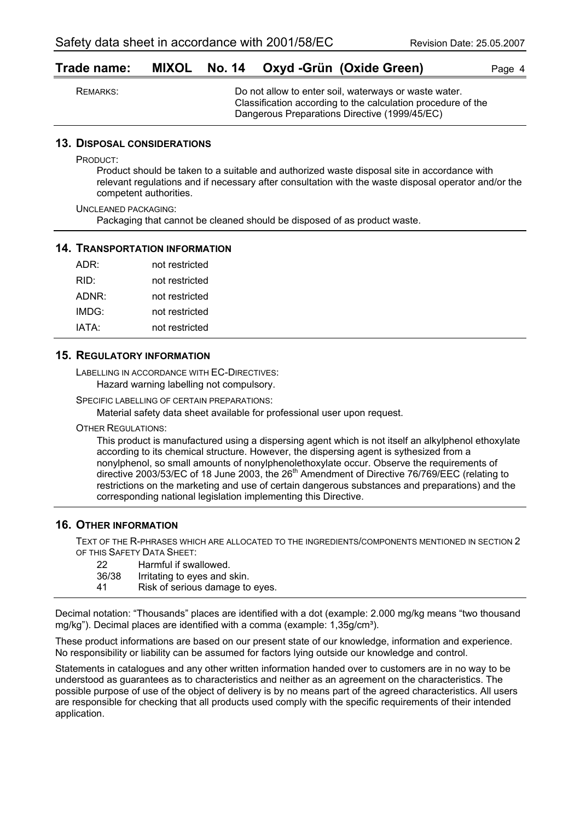#### **Trade name: MIXOL No. 14 Oxyd -Grün (Oxide Green)** Page 4

| REMARKS: | Do not allow to enter soil, waterways or waste water.        |
|----------|--------------------------------------------------------------|
|          | Classification according to the calculation procedure of the |
|          | Dangerous Preparations Directive (1999/45/EC)                |

#### **13. DISPOSAL CONSIDERATIONS**

PRODUCT:

Product should be taken to a suitable and authorized waste disposal site in accordance with relevant regulations and if necessary after consultation with the waste disposal operator and/or the competent authorities.

UNCLEANED PACKAGING: Packaging that cannot be cleaned should be disposed of as product waste.

#### **14. TRANSPORTATION INFORMATION**

| ADR:  | not restricted |
|-------|----------------|
| RID:  | not restricted |
| ADNR: | not restricted |
| IMDG: | not restricted |
| IATA: | not restricted |

#### **15. REGULATORY INFORMATION**

LABELLING IN ACCORDANCE WITH EC-DIRECTIVES: Hazard warning labelling not compulsory.

SPECIFIC LABELLING OF CERTAIN PREPARATIONS:

Material safety data sheet available for professional user upon request.

OTHER REGULATIONS:

This product is manufactured using a dispersing agent which is not itself an alkylphenol ethoxylate according to its chemical structure. However, the dispersing agent is sythesized from a nonylphenol, so small amounts of nonylphenolethoxylate occur. Observe the requirements of directive 2003/53/EC of 18 June 2003, the 26<sup>th</sup> Amendment of Directive 76/769/EEC (relating to restrictions on the marketing and use of certain dangerous substances and preparations) and the corresponding national legislation implementing this Directive.

#### **16. OTHER INFORMATION**

TEXT OF THE R-PHRASES WHICH ARE ALLOCATED TO THE INGREDIENTS/COMPONENTS MENTIONED IN SECTION 2 OF THIS SAFETY DATA SHEET:

22 Harmful if swallowed. 36/38 Irritating to eyes and skin. 41 Risk of serious damage to eyes.

Decimal notation: "Thousands" places are identified with a dot (example: 2.000 mg/kg means "two thousand mg/kg"). Decimal places are identified with a comma (example:  $1.35q/cm<sup>3</sup>$ ).

These product informations are based on our present state of our knowledge, information and experience. No responsibility or liability can be assumed for factors lying outside our knowledge and control.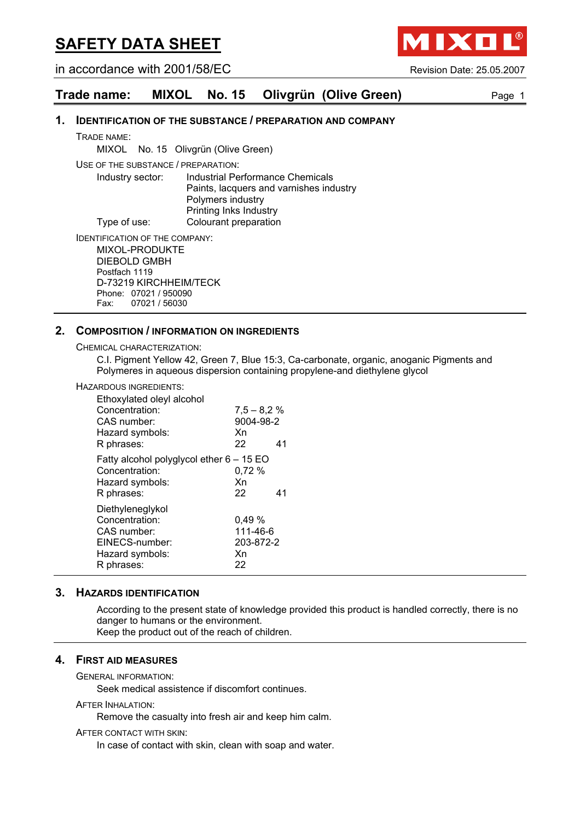in accordance with 2001/58/EC Revision Date: 25.05.2007

**AIXO** 

#### **Trade name: MIXOL No. 15 Olivgrün (Olive Green)** Page 1

#### **1. IDENTIFICATION OF THE SUBSTANCE / PREPARATION AND COMPANY**

TRADE NAME:

MIXOL No. 15 Olivgrün (Olive Green)

USE OF THE SUBSTANCE / PREPARATION:

Industry sector: Industrial Performance Chemicals Paints, lacquers and varnishes industry Polymers industry Printing Inks Industry Type of use: Colourant preparation

IDENTIFICATION OF THE COMPANY:

MIXOL-PRODUKTE DIEBOLD GMBH Postfach 1119 D-73219 KIRCHHEIM/TECK Phone: 07021 / 950090 Fax: 07021 / 56030

#### **2. COMPOSITION / INFORMATION ON INGREDIENTS**

CHEMICAL CHARACTERIZATION:

C.I. Pigment Yellow 42, Green 7, Blue 15:3, Ca-carbonate, organic, anoganic Pigments and Polymeres in aqueous dispersion containing propylene-and diethylene glycol

#### HAZARDOUS INGREDIENTS:

| Ethoxylated oleyl alcohol<br>Concentration:<br>CAS number:<br>Hazard symbols:<br>R phrases:          | $7,5 - 8,2 %$<br>9004-98-2<br>Xn<br>22     | 41 |
|------------------------------------------------------------------------------------------------------|--------------------------------------------|----|
| Fatty alcohol polyglycol ether 6 - 15 EO<br>Concentration:<br>Hazard symbols:<br>R phrases:          | 0.72%<br>Xn<br>22                          | 41 |
| Diethyleneglykol<br>Concentration:<br>CAS number:<br>EINECS-number:<br>Hazard symbols:<br>R phrases: | 0,49%<br>111-46-6<br>203-872-2<br>Xn<br>22 |    |

#### **3. HAZARDS IDENTIFICATION**

According to the present state of knowledge provided this product is handled correctly, there is no danger to humans or the environment. Keep the product out of the reach of children.

#### **4. FIRST AID MEASURES**

GENERAL INFORMATION:

Seek medical assistence if discomfort continues.

#### AFTER INHALATION:

Remove the casualty into fresh air and keep him calm.

AFTER CONTACT WITH SKIN:

In case of contact with skin, clean with soap and water.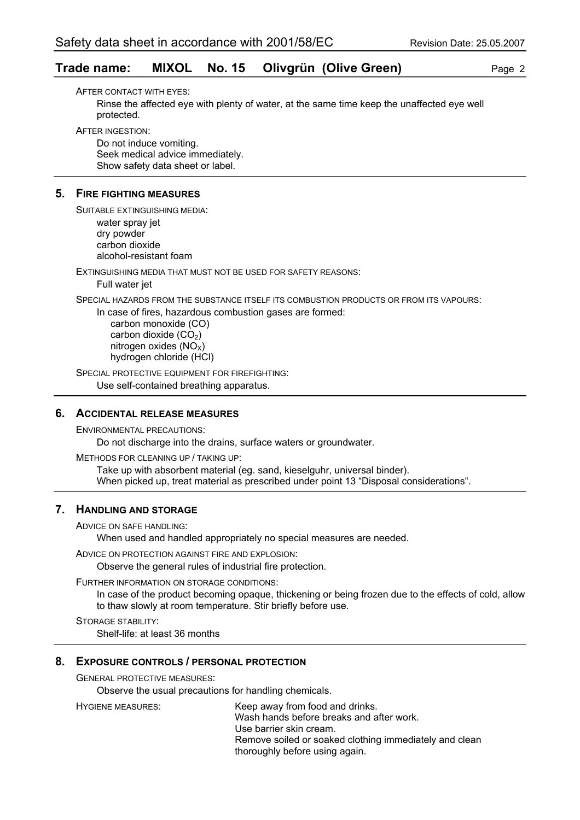#### **Trade name: MIXOL No. 15 Olivgrün (Olive Green)** Page 2

AFTER CONTACT WITH EYES: Rinse the affected eye with plenty of water, at the same time keep the unaffected eye well protected.

AFTER INGESTION:

Do not induce vomiting. Seek medical advice immediately. Show safety data sheet or label.

#### **5. FIRE FIGHTING MEASURES**

SUITABLE EXTINGUISHING MEDIA: water spray jet dry powder carbon dioxide alcohol-resistant foam

EXTINGUISHING MEDIA THAT MUST NOT BE USED FOR SAFETY REASONS: Full water jet

SPECIAL HAZARDS FROM THE SUBSTANCE ITSELF ITS COMBUSTION PRODUCTS OR FROM ITS VAPOURS:

In case of fires, hazardous combustion gases are formed:

 carbon monoxide (CO) carbon dioxide  $(CO<sub>2</sub>)$ nitrogen oxides  $(NO<sub>x</sub>)$ hydrogen chloride (HCl)

SPECIAL PROTECTIVE EQUIPMENT FOR FIREFIGHTING: Use self-contained breathing apparatus.

#### **6. ACCIDENTAL RELEASE MEASURES**

ENVIRONMENTAL PRECAUTIONS: Do not discharge into the drains, surface waters or groundwater.

METHODS FOR CLEANING UP / TAKING UP: Take up with absorbent material (eg. sand, kieselguhr, universal binder). When picked up, treat material as prescribed under point 13 "Disposal considerations".

#### **7. HANDLING AND STORAGE**

ADVICE ON SAFE HANDLING:

When used and handled appropriately no special measures are needed.

ADVICE ON PROTECTION AGAINST FIRE AND EXPLOSION:

Observe the general rules of industrial fire protection.

FURTHER INFORMATION ON STORAGE CONDITIONS:

In case of the product becoming opaque, thickening or being frozen due to the effects of cold, allow to thaw slowly at room temperature. Stir briefly before use.

STORAGE STABILITY: Shelf-life: at least 36 months

#### **8. EXPOSURE CONTROLS / PERSONAL PROTECTION**

GENERAL PROTECTIVE MEASURES:

Observe the usual precautions for handling chemicals.

HYGIENE MEASURES: Keep away from food and drinks. Wash hands before breaks and after work. Use barrier skin cream. Remove soiled or soaked clothing immediately and clean thoroughly before using again.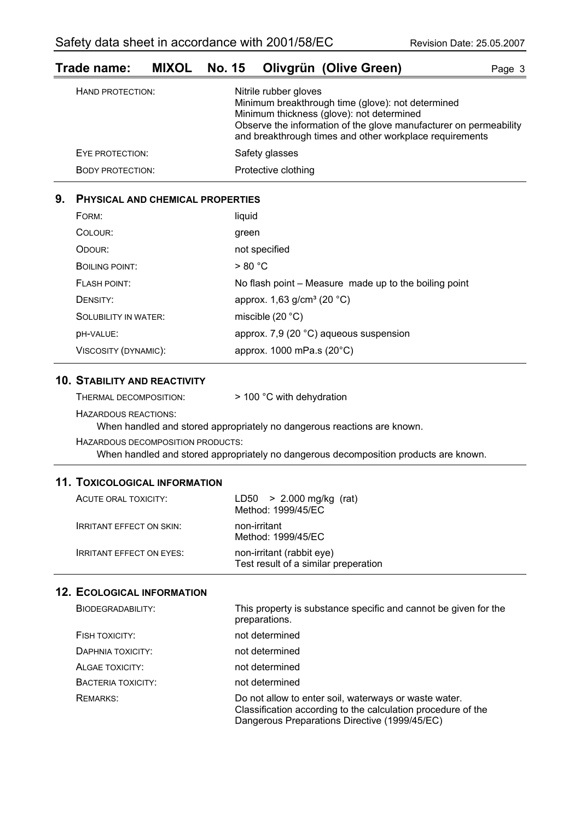#### **Trade name: MIXOL No. 15 Olivgrün (Olive Green)** Page 3 HAND PROTECTION: Nitrile rubber gloves Minimum breakthrough time (glove): not determined Minimum thickness (glove): not determined

|                         | Observe the information of the glove manufacturer on permeability<br>and breakthrough times and other workplace requirements |
|-------------------------|------------------------------------------------------------------------------------------------------------------------------|
| EYE PROTECTION:         | Safety glasses                                                                                                               |
| <b>BODY PROTECTION:</b> | Protective clothing                                                                                                          |

#### **9. PHYSICAL AND CHEMICAL PROPERTIES**

| FORM:                       | liquid                                                |
|-----------------------------|-------------------------------------------------------|
| COLOUR:                     | green                                                 |
| ODOUR:                      | not specified                                         |
| BOILING POINT:              | > 80 °C                                               |
| <b>FLASH POINT:</b>         | No flash point - Measure made up to the boiling point |
| DENSITY:                    | approx. 1,63 g/cm <sup>3</sup> (20 °C)                |
| <b>SOLUBILITY IN WATER:</b> | miscible $(20 °C)$                                    |
| <b>DH-VALUE:</b>            | approx. 7,9 (20 °C) aqueous suspension                |
| VISCOSITY (DYNAMIC):        | approx. 1000 mPa.s (20°C)                             |

#### **10. STABILITY AND REACTIVITY**

HAZARDOUS REACTIONS:

When handled and stored appropriately no dangerous reactions are known.

HAZARDOUS DECOMPOSITION PRODUCTS:

When handled and stored appropriately no dangerous decomposition products are known.

#### **11. TOXICOLOGICAL INFORMATION**

| ACUTE ORAL TOXICITY:            | $LD50 > 2.000$ mg/kg (rat)<br>Method: 1999/45/EC                  |
|---------------------------------|-------------------------------------------------------------------|
| <b>IRRITANT EFFECT ON SKIN:</b> | non-irritant<br>Method: 1999/45/EC                                |
| <b>IRRITANT EFFECT ON EYES:</b> | non-irritant (rabbit eye)<br>Test result of a similar preperation |

| BIODEGRADABILITY:  | This property is substance specific and cannot be given for the<br>preparations.                                                                                       |
|--------------------|------------------------------------------------------------------------------------------------------------------------------------------------------------------------|
| FISH TOXICITY:     | not determined                                                                                                                                                         |
| DAPHNIA TOXICITY:  | not determined                                                                                                                                                         |
| ALGAE TOXICITY:    | not determined                                                                                                                                                         |
| BACTERIA TOXICITY: | not determined                                                                                                                                                         |
| <b>REMARKS:</b>    | Do not allow to enter soil, waterways or waste water.<br>Classification according to the calculation procedure of the<br>Dangerous Preparations Directive (1999/45/EC) |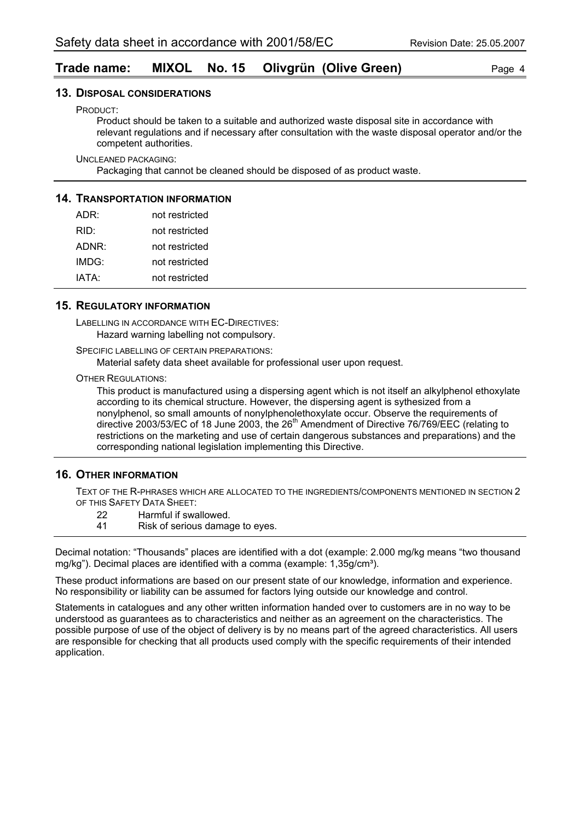#### **Trade name: MIXOL No. 15 Olivgrün (Olive Green)** Page 4

#### **13. DISPOSAL CONSIDERATIONS**

PRODUCT:

Product should be taken to a suitable and authorized waste disposal site in accordance with relevant regulations and if necessary after consultation with the waste disposal operator and/or the competent authorities.

UNCLEANED PACKAGING:

Packaging that cannot be cleaned should be disposed of as product waste.

#### **14. TRANSPORTATION INFORMATION**

| ADR:  | not restricted |
|-------|----------------|
| RID:  | not restricted |
| ADNR: | not restricted |
| IMDG: | not restricted |
| IATA: | not restricted |

#### **15. REGULATORY INFORMATION**

LABELLING IN ACCORDANCE WITH EC-DIRECTIVES: Hazard warning labelling not compulsory.

SPECIFIC LABELLING OF CERTAIN PREPARATIONS:

Material safety data sheet available for professional user upon request.

OTHER REGULATIONS:

This product is manufactured using a dispersing agent which is not itself an alkylphenol ethoxylate according to its chemical structure. However, the dispersing agent is sythesized from a nonylphenol, so small amounts of nonylphenolethoxylate occur. Observe the requirements of directive 2003/53/EC of 18 June 2003, the  $26<sup>th</sup>$  Amendment of Directive 76/769/EEC (relating to restrictions on the marketing and use of certain dangerous substances and preparations) and the corresponding national legislation implementing this Directive.

#### **16. OTHER INFORMATION**

TEXT OF THE R-PHRASES WHICH ARE ALLOCATED TO THE INGREDIENTS/COMPONENTS MENTIONED IN SECTION 2 OF THIS SAFETY DATA SHEET:

- 22 Harmful if swallowed.
- 41 Risk of serious damage to eyes.

Decimal notation: "Thousands" places are identified with a dot (example: 2.000 mg/kg means "two thousand mg/kg"). Decimal places are identified with a comma (example: 1,35g/cm<sup>3</sup>).

These product informations are based on our present state of our knowledge, information and experience. No responsibility or liability can be assumed for factors lying outside our knowledge and control.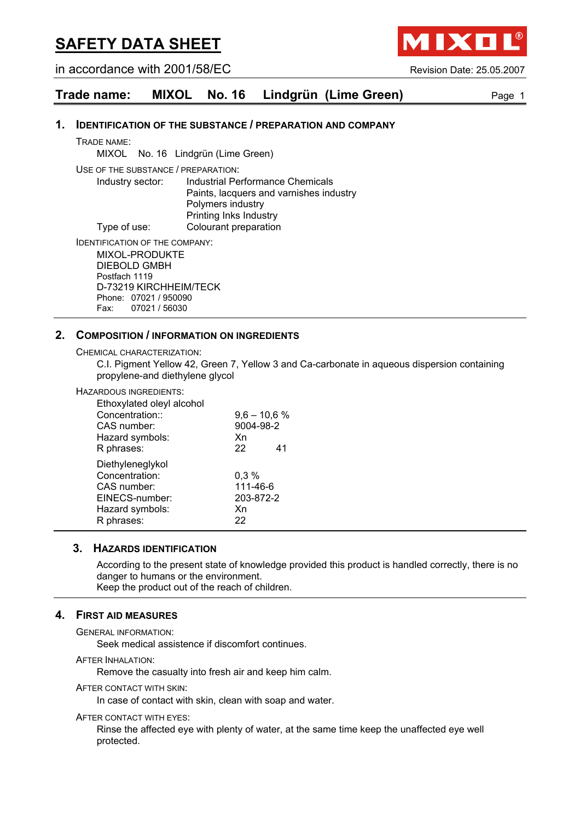in accordance with 2001/58/EC Revision Date: 25.05.2007

IXO

#### **Trade name: MIXOL No. 16 Lindgrün (Lime Green)** Page 1

#### **1. IDENTIFICATION OF THE SUBSTANCE / PREPARATION AND COMPANY**

TRADE NAME:

MIXOL No. 16 Lindgrün (Lime Green)

USE OF THE SUBSTANCE / PREPARATION:

Industry sector: Industrial Performance Chemicals Paints, lacquers and varnishes industry Polymers industry Printing Inks Industry Type of use: Colourant preparation

IDENTIFICATION OF THE COMPANY:

MIXOL-PRODUKTE DIEBOLD GMBH Postfach 1119 D-73219 KIRCHHEIM/TECK Phone: 07021 / 950090 Fax: 07021 / 56030

#### **2. COMPOSITION / INFORMATION ON INGREDIENTS**

CHEMICAL CHARACTERIZATION:

C.I. Pigment Yellow 42, Green 7, Yellow 3 and Ca-carbonate in aqueous dispersion containing propylene-and diethylene glycol

#### HAZARDOUS INGREDIENTS:

| Ethoxylated oleyl alcohol |                |    |
|---------------------------|----------------|----|
| Concentration::           | $9,6 - 10,6 %$ |    |
| CAS number:               | 9004-98-2      |    |
| Hazard symbols:           | Xn             |    |
| R phrases:                | 22             | 41 |
| Diethyleneglykol          |                |    |
| Concentration:            | 0,3%           |    |
| CAS number:               | 111-46-6       |    |
| EINECS-number:            | 203-872-2      |    |
| Hazard symbols:           | Xn             |    |
| R phrases:                | 22             |    |
|                           |                |    |

#### **3. HAZARDS IDENTIFICATION**

According to the present state of knowledge provided this product is handled correctly, there is no danger to humans or the environment. Keep the product out of the reach of children.

#### **4. FIRST AID MEASURES**

GENERAL INFORMATION:

Seek medical assistence if discomfort continues.

**AFTER INHALATION:** 

Remove the casualty into fresh air and keep him calm.

AFTER CONTACT WITH SKIN:

In case of contact with skin, clean with soap and water.

#### AFTER CONTACT WITH EYES:

Rinse the affected eye with plenty of water, at the same time keep the unaffected eye well protected.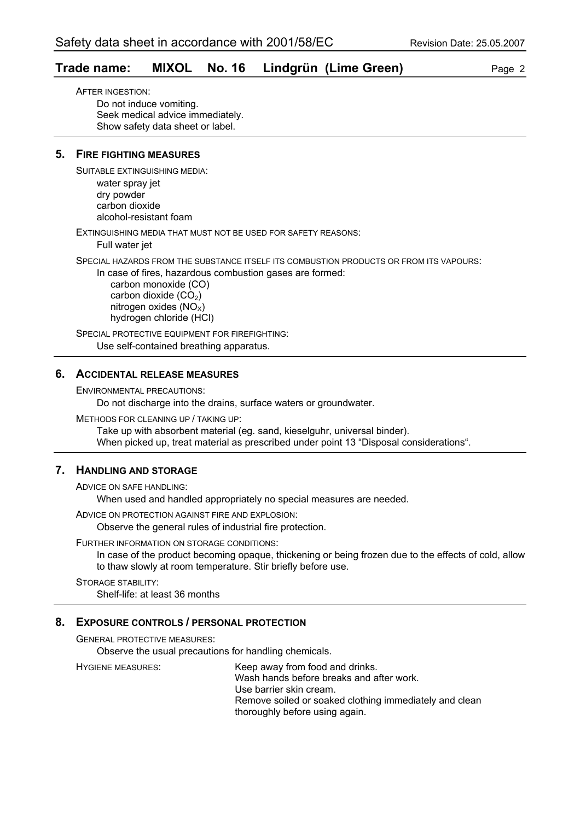#### **Trade name: MIXOL No. 16 Lindgrün (Lime Green)** Page 2

AFTER INGESTION: Do not induce vomiting. Seek medical advice immediately. Show safety data sheet or label.

#### **5. FIRE FIGHTING MEASURES**

SUITABLE EXTINGUISHING MEDIA:

water spray jet dry powder carbon dioxide alcohol-resistant foam

EXTINGUISHING MEDIA THAT MUST NOT BE USED FOR SAFETY REASONS:

Full water jet

SPECIAL HAZARDS FROM THE SUBSTANCE ITSELF ITS COMBUSTION PRODUCTS OR FROM ITS VAPOURS:

In case of fires, hazardous combustion gases are formed:

 carbon monoxide (CO) carbon dioxide  $(CO<sub>2</sub>)$ nitrogen oxides  $(NO<sub>x</sub>)$ hydrogen chloride (HCl)

SPECIAL PROTECTIVE EQUIPMENT FOR FIREFIGHTING: Use self-contained breathing apparatus.

#### **6. ACCIDENTAL RELEASE MEASURES**

ENVIRONMENTAL PRECAUTIONS:

Do not discharge into the drains, surface waters or groundwater.

METHODS FOR CLEANING UP / TAKING UP:

Take up with absorbent material (eg. sand, kieselguhr, universal binder). When picked up, treat material as prescribed under point 13 "Disposal considerations".

#### **7. HANDLING AND STORAGE**

ADVICE ON SAFE HANDLING:

When used and handled appropriately no special measures are needed.

ADVICE ON PROTECTION AGAINST FIRE AND EXPLOSION:

Observe the general rules of industrial fire protection.

#### FURTHER INFORMATION ON STORAGE CONDITIONS:

In case of the product becoming opaque, thickening or being frozen due to the effects of cold, allow to thaw slowly at room temperature. Stir briefly before use.

STORAGE STABILITY: Shelf-life: at least 36 months

#### **8. EXPOSURE CONTROLS / PERSONAL PROTECTION**

GENERAL PROTECTIVE MEASURES:

Observe the usual precautions for handling chemicals.

HYGIENE MEASURES: Keep away from food and drinks. Wash hands before breaks and after work. Use barrier skin cream. Remove soiled or soaked clothing immediately and clean thoroughly before using again.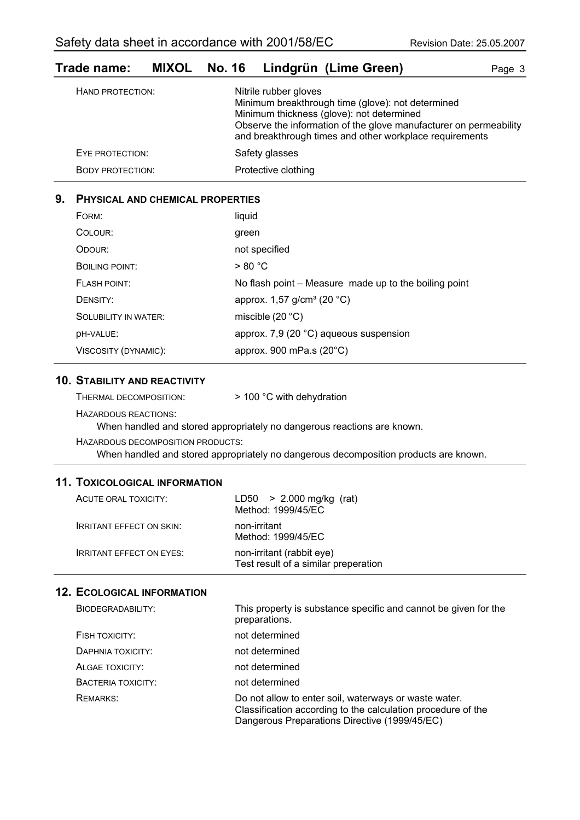BODY PROTECTION: Protective clothing

| Trage name:      | <b>MIXUL</b> | NO. 16 |                       | Lindgrun (Lime Green)                                                                                                                                                                                                          | Page 3 |
|------------------|--------------|--------|-----------------------|--------------------------------------------------------------------------------------------------------------------------------------------------------------------------------------------------------------------------------|--------|
| HAND PROTECTION: |              |        | Nitrile rubber gloves | Minimum breakthrough time (glove): not determined<br>Minimum thickness (glove): not determined<br>Observe the information of the glove manufacturer on permeability<br>and breakthrough times and other workplace requirements |        |
| EYE PROTECTION:  |              |        | Safety glasses        |                                                                                                                                                                                                                                |        |
|                  |              |        |                       |                                                                                                                                                                                                                                |        |

### **Trade name: MIXOL No. 16 Lindgrün (Lime Green)** Page 3

#### **9. PHYSICAL AND CHEMICAL PROPERTIES**

| FORM:                       | liquid                                                |
|-----------------------------|-------------------------------------------------------|
| COLOUR:                     | green                                                 |
| ODOUR:                      | not specified                                         |
| <b>BOILING POINT:</b>       | > 80 °C                                               |
| FLASH POINT:                | No flash point – Measure made up to the boiling point |
| DENSITY:                    | approx. $1,57$ g/cm <sup>3</sup> (20 °C)              |
| <b>SOLUBILITY IN WATER:</b> | miscible $(20 °C)$                                    |
| <b>DH-VALUE:</b>            | approx. 7,9 (20 °C) aqueous suspension                |
| VISCOSITY (DYNAMIC):        | approx. 900 mPa.s $(20^{\circ}C)$                     |

#### **10. STABILITY AND REACTIVITY**

| > 100 °C with dehydration |
|---------------------------|
|                           |

HAZARDOUS REACTIONS:

When handled and stored appropriately no dangerous reactions are known.

HAZARDOUS DECOMPOSITION PRODUCTS:

When handled and stored appropriately no dangerous decomposition products are known.

#### **11. TOXICOLOGICAL INFORMATION**

| ACUTE ORAL TOXICITY:            | $LD50 > 2.000$ mg/kg (rat)<br>Method: 1999/45/EC                  |
|---------------------------------|-------------------------------------------------------------------|
| <b>IRRITANT EFFECT ON SKIN:</b> | non-irritant<br>Method: 1999/45/EC                                |
| <b>IRRITANT EFFECT ON EYES:</b> | non-irritant (rabbit eye)<br>Test result of a similar preperation |

| BIODEGRADABILITY:  | This property is substance specific and cannot be given for the<br>preparations.                                                                                       |
|--------------------|------------------------------------------------------------------------------------------------------------------------------------------------------------------------|
| FISH TOXICITY:     | not determined                                                                                                                                                         |
| DAPHNIA TOXICITY:  | not determined                                                                                                                                                         |
| ALGAE TOXICITY:    | not determined                                                                                                                                                         |
| BACTERIA TOXICITY: | not determined                                                                                                                                                         |
| <b>REMARKS:</b>    | Do not allow to enter soil, waterways or waste water.<br>Classification according to the calculation procedure of the<br>Dangerous Preparations Directive (1999/45/EC) |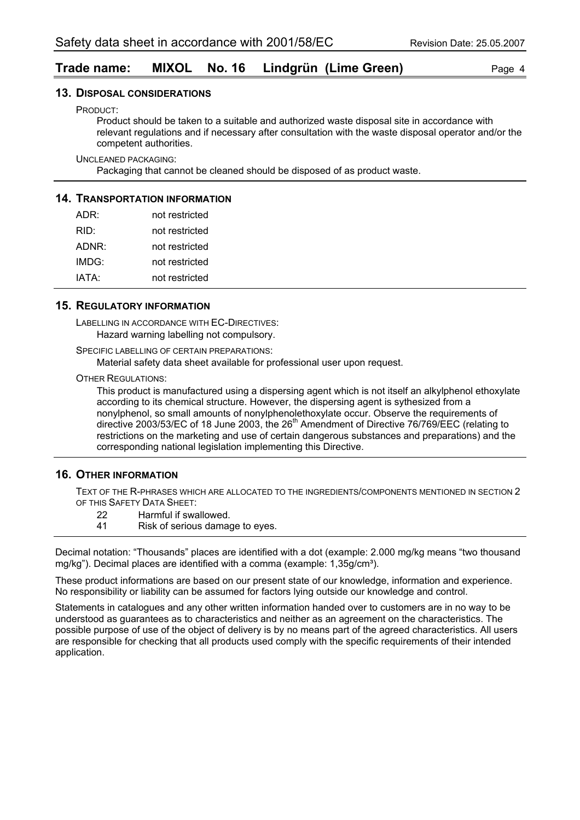#### **Trade name: MIXOL No. 16 Lindgrün (Lime Green)** Page 4

#### **13. DISPOSAL CONSIDERATIONS**

PRODUCT:

Product should be taken to a suitable and authorized waste disposal site in accordance with relevant regulations and if necessary after consultation with the waste disposal operator and/or the competent authorities.

UNCLEANED PACKAGING:

Packaging that cannot be cleaned should be disposed of as product waste.

#### **14. TRANSPORTATION INFORMATION**

| ADR:  | not restricted |
|-------|----------------|
| RID:  | not restricted |
| ADNR: | not restricted |
| IMDG: | not restricted |
| IATA: | not restricted |

#### **15. REGULATORY INFORMATION**

LABELLING IN ACCORDANCE WITH EC-DIRECTIVES: Hazard warning labelling not compulsory.

SPECIFIC LABELLING OF CERTAIN PREPARATIONS:

Material safety data sheet available for professional user upon request.

OTHER REGULATIONS:

This product is manufactured using a dispersing agent which is not itself an alkylphenol ethoxylate according to its chemical structure. However, the dispersing agent is sythesized from a nonylphenol, so small amounts of nonylphenolethoxylate occur. Observe the requirements of directive 2003/53/EC of 18 June 2003, the  $26<sup>th</sup>$  Amendment of Directive 76/769/EEC (relating to restrictions on the marketing and use of certain dangerous substances and preparations) and the corresponding national legislation implementing this Directive.

#### **16. OTHER INFORMATION**

TEXT OF THE R-PHRASES WHICH ARE ALLOCATED TO THE INGREDIENTS/COMPONENTS MENTIONED IN SECTION 2 OF THIS SAFETY DATA SHEET:

- 22 Harmful if swallowed.
- 41 Risk of serious damage to eyes.

Decimal notation: "Thousands" places are identified with a dot (example: 2.000 mg/kg means "two thousand mg/kg"). Decimal places are identified with a comma (example: 1,35g/cm<sup>3</sup>).

These product informations are based on our present state of our knowledge, information and experience. No responsibility or liability can be assumed for factors lying outside our knowledge and control.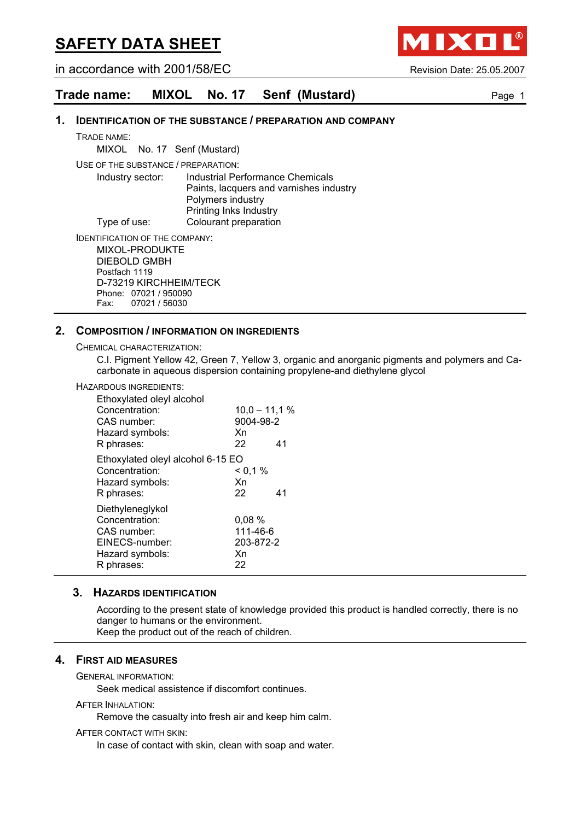in accordance with 2001/58/EC Revision Date: 25.05.2007

**AIXO** 

#### **Trade name: MIXOL No. 17 Senf (Mustard)** Page 1

#### **1. IDENTIFICATION OF THE SUBSTANCE / PREPARATION AND COMPANY**

TRADE NAME:

MIXOL No. 17 Senf (Mustard)

USE OF THE SUBSTANCE / PREPARATION:

Industry sector: Industrial Performance Chemicals Paints, lacquers and varnishes industry Polymers industry Printing Inks Industry Type of use: Colourant preparation

IDENTIFICATION OF THE COMPANY:

MIXOL-PRODUKTE DIEBOLD GMBH Postfach 1119 D-73219 KIRCHHEIM/TECK Phone: 07021 / 950090 Fax: 07021 / 56030

#### **2. COMPOSITION / INFORMATION ON INGREDIENTS**

CHEMICAL CHARACTERIZATION:

C.I. Pigment Yellow 42, Green 7, Yellow 3, organic and anorganic pigments and polymers and Cacarbonate in aqueous dispersion containing propylene-and diethylene glycol

#### HAZARDOUS INGREDIENTS:

| Ethoxylated oleyl alcohol<br>Concentration:<br>CAS number:<br>Hazard symbols:<br>R phrases:          | $10,0 - 11,1 %$<br>9004-98-2<br>Xn<br>22   | 41 |
|------------------------------------------------------------------------------------------------------|--------------------------------------------|----|
| Ethoxylated oleyl alcohol 6-15 EO<br>Concentration:<br>Hazard symbols:<br>R phrases:                 | < 0.1 %<br>Xn<br>22                        | 41 |
| Diethyleneglykol<br>Concentration:<br>CAS number:<br>EINECS-number:<br>Hazard symbols:<br>R phrases: | 0,08%<br>111-46-6<br>203-872-2<br>Xn<br>22 |    |

#### **3. HAZARDS IDENTIFICATION**

According to the present state of knowledge provided this product is handled correctly, there is no danger to humans or the environment. Keep the product out of the reach of children.

#### **4. FIRST AID MEASURES**

GENERAL INFORMATION:

Seek medical assistence if discomfort continues.

#### AFTER INHALATION:

Remove the casualty into fresh air and keep him calm.

AFTER CONTACT WITH SKIN:

In case of contact with skin, clean with soap and water.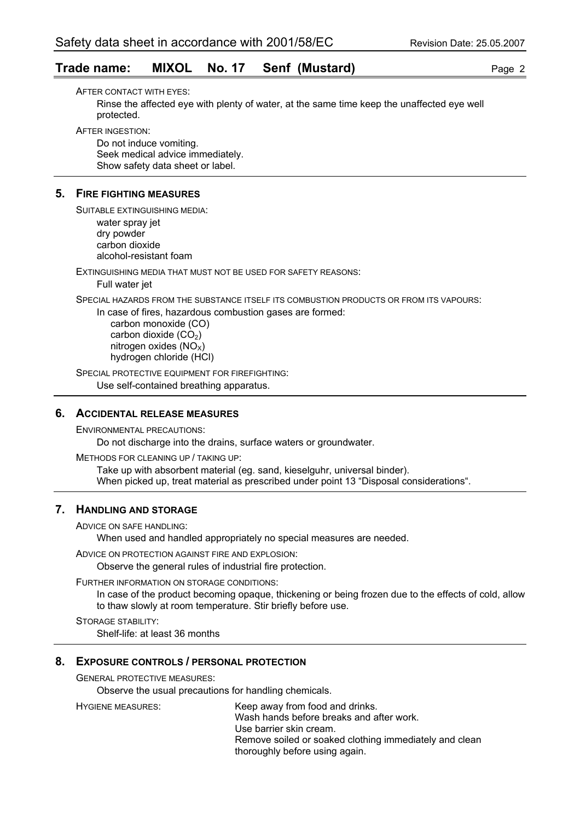#### **Trade name: MIXOL No. 17 Senf (Mustard)** Page 2

AFTER CONTACT WITH EYES: Rinse the affected eye with plenty of water, at the same time keep the unaffected eye well protected.

AFTER INGESTION:

Do not induce vomiting. Seek medical advice immediately. Show safety data sheet or label.

#### **5. FIRE FIGHTING MEASURES**

SUITABLE EXTINGUISHING MEDIA: water spray jet dry powder carbon dioxide alcohol-resistant foam

EXTINGUISHING MEDIA THAT MUST NOT BE USED FOR SAFETY REASONS: Full water jet

SPECIAL HAZARDS FROM THE SUBSTANCE ITSELF ITS COMBUSTION PRODUCTS OR FROM ITS VAPOURS:

In case of fires, hazardous combustion gases are formed:

 carbon monoxide (CO) carbon dioxide  $(CO<sub>2</sub>)$ nitrogen oxides  $(NO<sub>x</sub>)$ hydrogen chloride (HCl)

SPECIAL PROTECTIVE EQUIPMENT FOR FIREFIGHTING: Use self-contained breathing apparatus.

#### **6. ACCIDENTAL RELEASE MEASURES**

ENVIRONMENTAL PRECAUTIONS: Do not discharge into the drains, surface waters or groundwater.

METHODS FOR CLEANING UP / TAKING UP: Take up with absorbent material (eg. sand, kieselguhr, universal binder). When picked up, treat material as prescribed under point 13 "Disposal considerations".

#### **7. HANDLING AND STORAGE**

ADVICE ON SAFE HANDLING:

When used and handled appropriately no special measures are needed.

ADVICE ON PROTECTION AGAINST FIRE AND EXPLOSION:

Observe the general rules of industrial fire protection.

FURTHER INFORMATION ON STORAGE CONDITIONS:

In case of the product becoming opaque, thickening or being frozen due to the effects of cold, allow to thaw slowly at room temperature. Stir briefly before use.

STORAGE STABILITY: Shelf-life: at least 36 months

#### **8. EXPOSURE CONTROLS / PERSONAL PROTECTION**

GENERAL PROTECTIVE MEASURES:

Observe the usual precautions for handling chemicals.

HYGIENE MEASURES: Keep away from food and drinks. Wash hands before breaks and after work. Use barrier skin cream. Remove soiled or soaked clothing immediately and clean thoroughly before using again.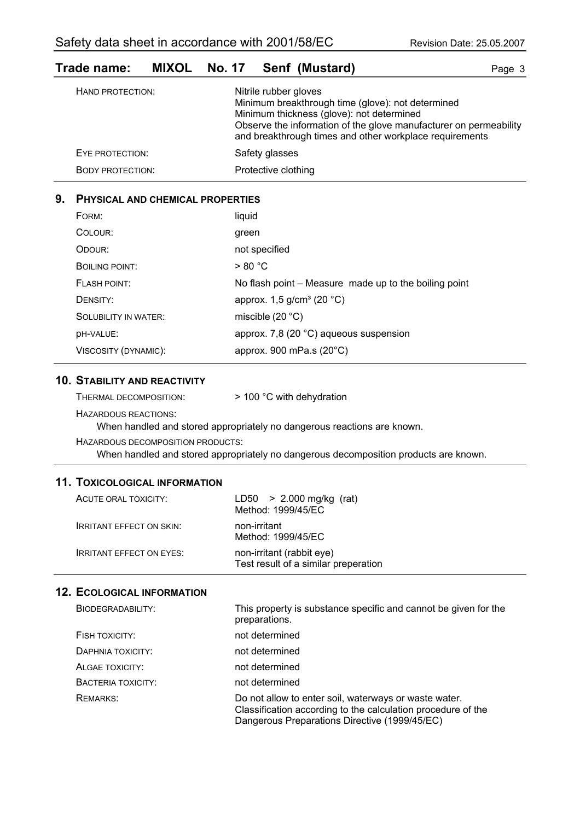# **Trade name: MIXOL No. 17 Senf (Mustard)** Page 3

| HAND PROTECTION:        | Nitrile rubber gloves<br>Minimum breakthrough time (glove): not determined<br>Minimum thickness (glove): not determined<br>Observe the information of the glove manufacturer on permeability<br>and breakthrough times and other workplace requirements |
|-------------------------|---------------------------------------------------------------------------------------------------------------------------------------------------------------------------------------------------------------------------------------------------------|
| EYE PROTECTION:         | Safety glasses                                                                                                                                                                                                                                          |
| <b>BODY PROTECTION:</b> | Protective clothing                                                                                                                                                                                                                                     |

#### **9. PHYSICAL AND CHEMICAL PROPERTIES**

| FORM:                       | liquid                                                |
|-----------------------------|-------------------------------------------------------|
| COLOUR:                     | green                                                 |
| ODOUR:                      | not specified                                         |
| <b>BOILING POINT:</b>       | > 80 °C                                               |
| <b>FLASH POINT:</b>         | No flash point – Measure made up to the boiling point |
| DENSITY:                    | approx. $1,5$ g/cm <sup>3</sup> (20 °C)               |
| <b>SOLUBILITY IN WATER:</b> | miscible $(20 °C)$                                    |
| DH-VALUE:                   | approx. 7,8 (20 °C) aqueous suspension                |
| VISCOSITY (DYNAMIC):        | approx. 900 mPa.s $(20^{\circ}C)$                     |

#### **10. STABILITY AND REACTIVITY**

HAZARDOUS REACTIONS:

When handled and stored appropriately no dangerous reactions are known.

HAZARDOUS DECOMPOSITION PRODUCTS:

When handled and stored appropriately no dangerous decomposition products are known.

#### **11. TOXICOLOGICAL INFORMATION**

| ACUTE ORAL TOXICITY:            | $LD50 > 2.000$ mg/kg (rat)<br>Method: 1999/45/EC                  |
|---------------------------------|-------------------------------------------------------------------|
| <b>IRRITANT EFFECT ON SKIN:</b> | non-irritant<br>Method: 1999/45/EC                                |
| <b>IRRITANT EFFECT ON EYES:</b> | non-irritant (rabbit eye)<br>Test result of a similar preperation |

| BIODEGRADABILITY:  | This property is substance specific and cannot be given for the<br>preparations.                                                                                       |
|--------------------|------------------------------------------------------------------------------------------------------------------------------------------------------------------------|
| FISH TOXICITY:     | not determined                                                                                                                                                         |
| DAPHNIA TOXICITY:  | not determined                                                                                                                                                         |
| ALGAE TOXICITY:    | not determined                                                                                                                                                         |
| BACTERIA TOXICITY: | not determined                                                                                                                                                         |
| <b>REMARKS:</b>    | Do not allow to enter soil, waterways or waste water.<br>Classification according to the calculation procedure of the<br>Dangerous Preparations Directive (1999/45/EC) |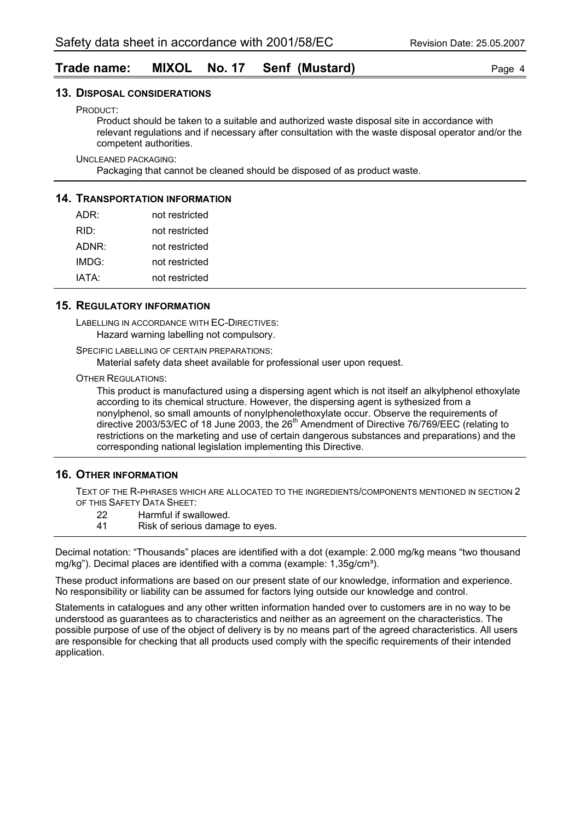#### **Trade name: MIXOL No. 17 Senf (Mustard)** Page 4

#### **13. DISPOSAL CONSIDERATIONS**

PRODUCT:

Product should be taken to a suitable and authorized waste disposal site in accordance with relevant regulations and if necessary after consultation with the waste disposal operator and/or the competent authorities.

UNCLEANED PACKAGING:

Packaging that cannot be cleaned should be disposed of as product waste.

#### **14. TRANSPORTATION INFORMATION**

| ADR:  | not restricted |
|-------|----------------|
| RID:  | not restricted |
| ADNR: | not restricted |
| IMDG: | not restricted |
| IATA: | not restricted |

#### **15. REGULATORY INFORMATION**

LABELLING IN ACCORDANCE WITH EC-DIRECTIVES: Hazard warning labelling not compulsory.

SPECIFIC LABELLING OF CERTAIN PREPARATIONS:

Material safety data sheet available for professional user upon request.

OTHER REGULATIONS:

This product is manufactured using a dispersing agent which is not itself an alkylphenol ethoxylate according to its chemical structure. However, the dispersing agent is sythesized from a nonylphenol, so small amounts of nonylphenolethoxylate occur. Observe the requirements of directive 2003/53/EC of 18 June 2003, the  $26<sup>th</sup>$  Amendment of Directive 76/769/EEC (relating to restrictions on the marketing and use of certain dangerous substances and preparations) and the corresponding national legislation implementing this Directive.

#### **16. OTHER INFORMATION**

TEXT OF THE R-PHRASES WHICH ARE ALLOCATED TO THE INGREDIENTS/COMPONENTS MENTIONED IN SECTION 2 OF THIS SAFETY DATA SHEET:

- 22 Harmful if swallowed.
- 41 Risk of serious damage to eyes.

Decimal notation: "Thousands" places are identified with a dot (example: 2.000 mg/kg means "two thousand mg/kg"). Decimal places are identified with a comma (example: 1,35g/cm<sup>3</sup>).

These product informations are based on our present state of our knowledge, information and experience. No responsibility or liability can be assumed for factors lying outside our knowledge and control.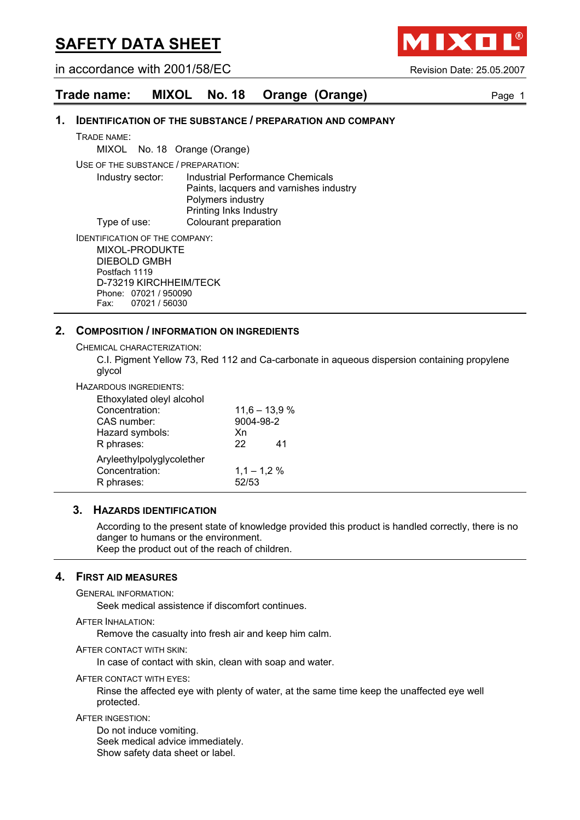in accordance with 2001/58/EC Revision Date: 25.05.2007

**AIXO** 

| Trade name: |  |  | MIXOL No. 18 Orange (Orange) | Page 1 |
|-------------|--|--|------------------------------|--------|
|-------------|--|--|------------------------------|--------|

#### **1. IDENTIFICATION OF THE SUBSTANCE / PREPARATION AND COMPANY**

TRADE NAME:

MIXOL No. 18 Orange (Orange)

USE OF THE SUBSTANCE / PREPARATION:

Industry sector: Industrial Performance Chemicals Paints, lacquers and varnishes industry Polymers industry Printing Inks Industry Type of use: Colourant preparation

IDENTIFICATION OF THE COMPANY:

MIXOL-PRODUKTE DIEBOLD GMBH Postfach 1119 D-73219 KIRCHHEIM/TECK Phone: 07021 / 950090 Fax: 07021 / 56030

#### **2. COMPOSITION / INFORMATION ON INGREDIENTS**

CHEMICAL CHARACTERIZATION:

C.I. Pigment Yellow 73, Red 112 and Ca-carbonate in aqueous dispersion containing propylene glycol

HAZARDOUS INGREDIENTS:

| Ethoxylated oleyl alcohol                                 |                       |                 |
|-----------------------------------------------------------|-----------------------|-----------------|
| Concentration:                                            |                       | $11,6 - 13,9 %$ |
| CAS number:                                               | 9004-98-2             |                 |
| Hazard symbols:                                           | Xn                    |                 |
| R phrases:                                                | 22                    | 41              |
| Aryleethylpolyglycolether<br>Concentration:<br>R phrases: | $1,1 - 1,2%$<br>52/53 |                 |

#### **3. HAZARDS IDENTIFICATION**

According to the present state of knowledge provided this product is handled correctly, there is no danger to humans or the environment. Keep the product out of the reach of children.

#### **4. FIRST AID MEASURES**

GENERAL INFORMATION:

Seek medical assistence if discomfort continues.

AFTER INHALATION:

Remove the casualty into fresh air and keep him calm.

AFTER CONTACT WITH SKIN:

In case of contact with skin, clean with soap and water.

AFTER CONTACT WITH EYES:

Rinse the affected eye with plenty of water, at the same time keep the unaffected eye well protected.

AFTER INGESTION:

Do not induce vomiting. Seek medical advice immediately. Show safety data sheet or label.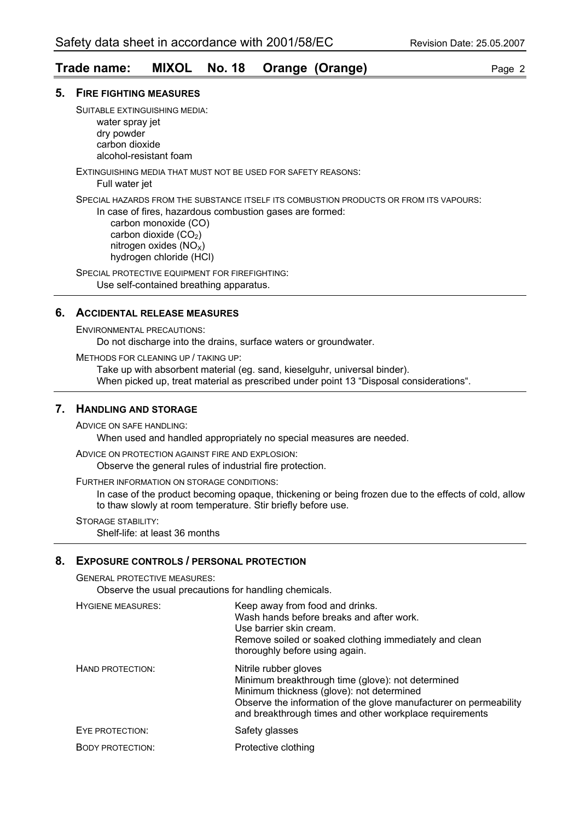#### **Trade name: MIXOL No. 18 Orange (Orange)** Page 2

#### **5. FIRE FIGHTING MEASURES**

SUITABLE EXTINGUISHING MEDIA: water spray jet dry powder carbon dioxide

alcohol-resistant foam

EXTINGUISHING MEDIA THAT MUST NOT BE USED FOR SAFETY REASONS:

Full water jet

SPECIAL HAZARDS FROM THE SUBSTANCE ITSELF ITS COMBUSTION PRODUCTS OR FROM ITS VAPOURS:

In case of fires, hazardous combustion gases are formed:

 carbon monoxide (CO) carbon dioxide  $(CO<sub>2</sub>)$ nitrogen oxides  $(NO<sub>x</sub>)$ hydrogen chloride (HCl)

SPECIAL PROTECTIVE EQUIPMENT FOR FIREFIGHTING: Use self-contained breathing apparatus.

#### **6. ACCIDENTAL RELEASE MEASURES**

ENVIRONMENTAL PRECAUTIONS:

Do not discharge into the drains, surface waters or groundwater.

METHODS FOR CLEANING UP / TAKING UP:

Take up with absorbent material (eg. sand, kieselguhr, universal binder). When picked up, treat material as prescribed under point 13 "Disposal considerations".

#### **7. HANDLING AND STORAGE**

ADVICE ON SAFE HANDLING:

When used and handled appropriately no special measures are needed.

ADVICE ON PROTECTION AGAINST FIRE AND EXPLOSION:

Observe the general rules of industrial fire protection.

FURTHER INFORMATION ON STORAGE CONDITIONS:

In case of the product becoming opaque, thickening or being frozen due to the effects of cold, allow to thaw slowly at room temperature. Stir briefly before use.

STORAGE STABILITY:

Shelf-life: at least 36 months

#### **8. EXPOSURE CONTROLS / PERSONAL PROTECTION**

GENERAL PROTECTIVE MEASURES:

Observe the usual precautions for handling chemicals.

| <b>HYGIENE MEASURES:</b> | Keep away from food and drinks.<br>Wash hands before breaks and after work.<br>Use barrier skin cream.<br>Remove soiled or soaked clothing immediately and clean<br>thoroughly before using again.                                                      |
|--------------------------|---------------------------------------------------------------------------------------------------------------------------------------------------------------------------------------------------------------------------------------------------------|
| HAND PROTECTION:         | Nitrile rubber gloves<br>Minimum breakthrough time (glove): not determined<br>Minimum thickness (glove): not determined<br>Observe the information of the glove manufacturer on permeability<br>and breakthrough times and other workplace requirements |
| EYE PROTECTION:          | Safety glasses                                                                                                                                                                                                                                          |
| <b>BODY PROTECTION:</b>  | Protective clothing                                                                                                                                                                                                                                     |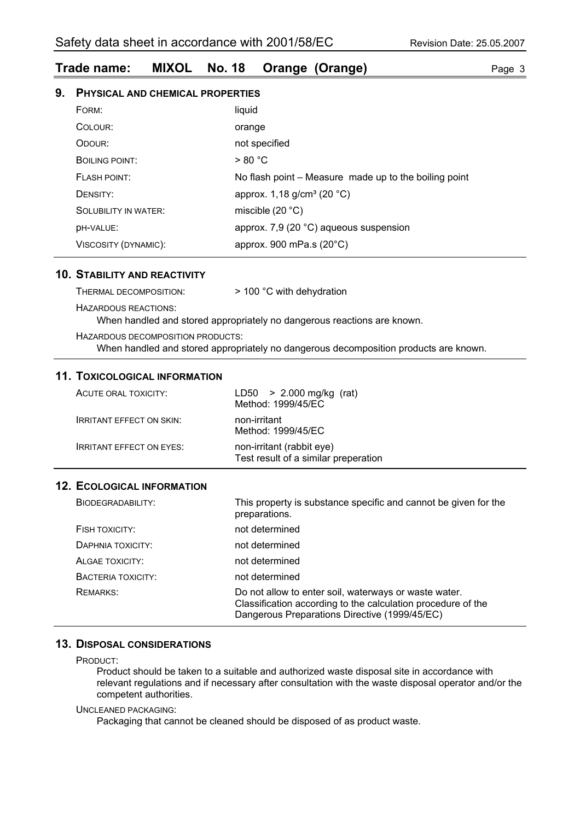#### **Trade name: MIXOL No. 18 Orange (Orange)** Page 3

#### **9. PHYSICAL AND CHEMICAL PROPERTIES**

| FORM:                 | liquid                                                |
|-----------------------|-------------------------------------------------------|
| COLOUR:               | orange                                                |
| ODOUR:                | not specified                                         |
| <b>BOILING POINT:</b> | > 80 °C                                               |
| <b>FLASH POINT:</b>   | No flash point - Measure made up to the boiling point |
| DENSITY:              | approx. $1,18$ g/cm <sup>3</sup> (20 °C)              |
| SOLUBILITY IN WATER:  | miscible $(20 °C)$                                    |
| DH-VALUE:             | approx. 7,9 (20 °C) aqueous suspension                |
| VISCOSITY (DYNAMIC):  | approx. 900 mPa.s $(20^{\circ}C)$                     |

#### **10. STABILITY AND REACTIVITY**

| THERMAL DECOMPOSITION:            | $>$ 100 °C with dehydration                                                          |
|-----------------------------------|--------------------------------------------------------------------------------------|
| <b>HAZARDOUS REACTIONS:</b>       | When handled and stored appropriately no dangerous reactions are known.              |
| HAZARDOUS DECOMPOSITION PRODUCTS: | When handled and stored appropriately no dangerous decomposition products are known. |

#### **11. TOXICOLOGICAL INFORMATION**

| ACUTE ORAL TOXICITY:            | $LD50 > 2.000$ mg/kg (rat)<br>Method: 1999/45/EC                  |
|---------------------------------|-------------------------------------------------------------------|
| <b>IRRITANT EFFECT ON SKIN:</b> | non-irritant<br>Method: 1999/45/EC                                |
| <b>IRRITANT EFFECT ON EYES:</b> | non-irritant (rabbit eye)<br>Test result of a similar preperation |

#### **12. ECOLOGICAL INFORMATION**

| BIODEGRADABILITY:  | This property is substance specific and cannot be given for the<br>preparations.                                                                                       |
|--------------------|------------------------------------------------------------------------------------------------------------------------------------------------------------------------|
| FISH TOXICITY:     | not determined                                                                                                                                                         |
| DAPHNIA TOXICITY:  | not determined                                                                                                                                                         |
| ALGAE TOXICITY:    | not determined                                                                                                                                                         |
| BACTERIA TOXICITY: | not determined                                                                                                                                                         |
| <b>REMARKS:</b>    | Do not allow to enter soil, waterways or waste water.<br>Classification according to the calculation procedure of the<br>Dangerous Preparations Directive (1999/45/EC) |

#### **13. DISPOSAL CONSIDERATIONS**

PRODUCT:

Product should be taken to a suitable and authorized waste disposal site in accordance with relevant regulations and if necessary after consultation with the waste disposal operator and/or the competent authorities.

#### UNCLEANED PACKAGING:

Packaging that cannot be cleaned should be disposed of as product waste.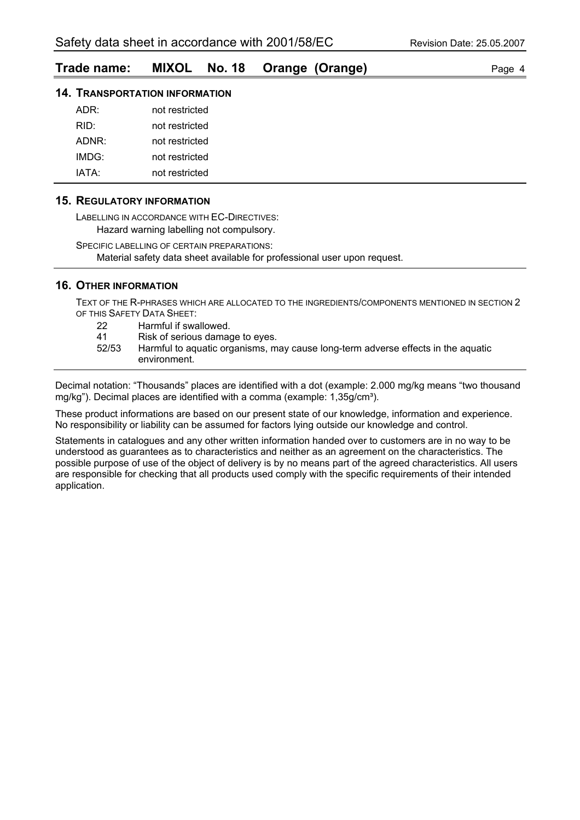#### **Trade name: MIXOL No. 18 Orange (Orange)** Page 4

#### **14. TRANSPORTATION INFORMATION**

| ADR:  | not restricted |
|-------|----------------|
| RID:  | not restricted |
| ADNR: | not restricted |
| IMDG: | not restricted |
| IATA· | not restricted |

#### **15. REGULATORY INFORMATION**

LABELLING IN ACCORDANCE WITH EC-DIRECTIVES: Hazard warning labelling not compulsory.

SPECIFIC LABELLING OF CERTAIN PREPARATIONS: Material safety data sheet available for professional user upon request.

#### **16. OTHER INFORMATION**

TEXT OF THE R-PHRASES WHICH ARE ALLOCATED TO THE INGREDIENTS/COMPONENTS MENTIONED IN SECTION 2 OF THIS SAFETY DATA SHEET:

- 22 Harmful if swallowed.
- 41 Risk of serious damage to eyes.
- 52/53 Harmful to aquatic organisms, may cause long-term adverse effects in the aquatic environment.

Decimal notation: "Thousands" places are identified with a dot (example: 2.000 mg/kg means "two thousand mg/kg"). Decimal places are identified with a comma (example: 1,35g/cm<sup>3</sup>).

These product informations are based on our present state of our knowledge, information and experience. No responsibility or liability can be assumed for factors lying outside our knowledge and control.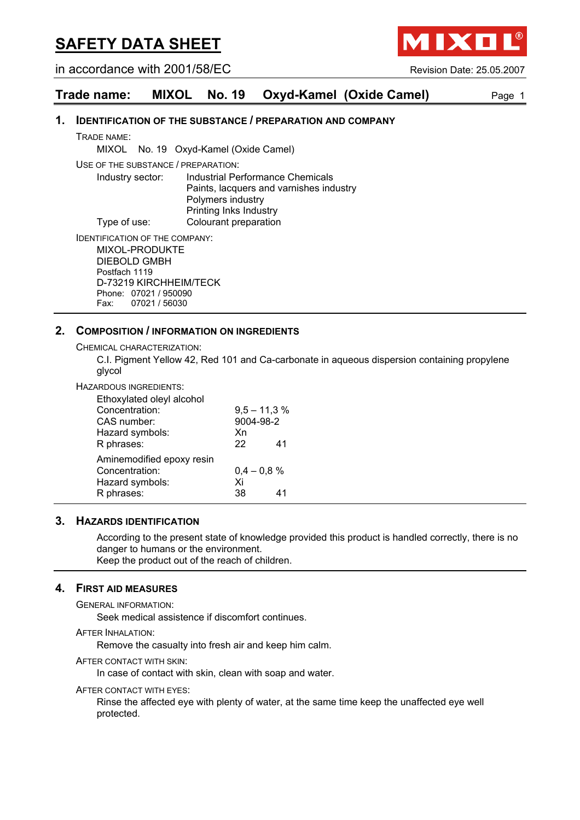in accordance with 2001/58/EC Revision Date: 25.05.2007

**AIXO** 

#### **Trade name: MIXOL No. 19 Oxyd-Kamel (Oxide Camel)** Page 1

#### **1. IDENTIFICATION OF THE SUBSTANCE / PREPARATION AND COMPANY**

TRADE NAME:

MIXOL No. 19 Oxyd-Kamel (Oxide Camel)

USE OF THE SUBSTANCE / PREPARATION:

Industry sector: Industrial Performance Chemicals Paints, lacquers and varnishes industry Polymers industry Printing Inks Industry Type of use: Colourant preparation

IDENTIFICATION OF THE COMPANY:

MIXOL-PRODUKTE DIEBOLD GMBH Postfach 1119 D-73219 KIRCHHEIM/TECK Phone: 07021 / 950090 Fax: 07021 / 56030

#### **2. COMPOSITION / INFORMATION ON INGREDIENTS**

CHEMICAL CHARACTERIZATION:

C.I. Pigment Yellow 42, Red 101 and Ca-carbonate in aqueous dispersion containing propylene glycol

HAZARDOUS INGREDIENTS:

| Ethoxylated oleyl alcohol |                |    |
|---------------------------|----------------|----|
| Concentration:            | $9,5 - 11,3 %$ |    |
| CAS number:               | 9004-98-2      |    |
| Hazard symbols:           | Xn             |    |
| R phrases:                | 22             | 41 |
| Aminemodified epoxy resin |                |    |
| Concentration:            | $0.4 - 0.8 %$  |    |
| Hazard symbols:           | Xi             |    |
| R phrases:                | 38.            | 41 |

#### **3. HAZARDS IDENTIFICATION**

According to the present state of knowledge provided this product is handled correctly, there is no danger to humans or the environment. Keep the product out of the reach of children.

#### **4. FIRST AID MEASURES**

GENERAL INFORMATION:

Seek medical assistence if discomfort continues.

AFTER INHALATION:

Remove the casualty into fresh air and keep him calm.

AFTER CONTACT WITH SKIN:

In case of contact with skin, clean with soap and water.

AFTER CONTACT WITH EYES:

Rinse the affected eye with plenty of water, at the same time keep the unaffected eye well protected.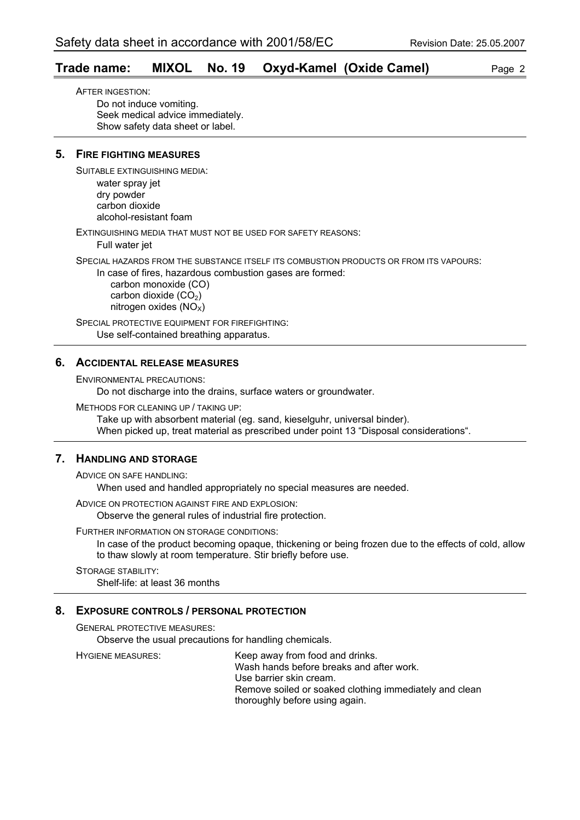#### **Trade name: MIXOL No. 19 Oxyd-Kamel (Oxide Camel)** Page 2

AFTER INGESTION: Do not induce vomiting. Seek medical advice immediately. Show safety data sheet or label.

#### **5. FIRE FIGHTING MEASURES**

SUITABLE EXTINGUISHING MEDIA:

water spray jet dry powder carbon dioxide alcohol-resistant foam

EXTINGUISHING MEDIA THAT MUST NOT BE USED FOR SAFETY REASONS:

Full water jet

SPECIAL HAZARDS FROM THE SUBSTANCE ITSELF ITS COMBUSTION PRODUCTS OR FROM ITS VAPOURS:

In case of fires, hazardous combustion gases are formed:

 carbon monoxide (CO) carbon dioxide  $(CO<sub>2</sub>)$ nitrogen oxides  $(NO<sub>x</sub>)$ 

SPECIAL PROTECTIVE EQUIPMENT FOR FIREFIGHTING: Use self-contained breathing apparatus.

#### **6. ACCIDENTAL RELEASE MEASURES**

ENVIRONMENTAL PRECAUTIONS:

Do not discharge into the drains, surface waters or groundwater.

METHODS FOR CLEANING UP / TAKING UP:

Take up with absorbent material (eg. sand, kieselguhr, universal binder). When picked up, treat material as prescribed under point 13 "Disposal considerations".

#### **7. HANDLING AND STORAGE**

ADVICE ON SAFE HANDLING:

When used and handled appropriately no special measures are needed.

ADVICE ON PROTECTION AGAINST FIRE AND EXPLOSION:

Observe the general rules of industrial fire protection.

FURTHER INFORMATION ON STORAGE CONDITIONS:

In case of the product becoming opaque, thickening or being frozen due to the effects of cold, allow to thaw slowly at room temperature. Stir briefly before use.

STORAGE STABILITY: Shelf-life: at least 36 months

#### **8. EXPOSURE CONTROLS / PERSONAL PROTECTION**

GENERAL PROTECTIVE MEASURES:

Observe the usual precautions for handling chemicals.

HYGIENE MEASURES: Keep away from food and drinks. Wash hands before breaks and after work. Use barrier skin cream. Remove soiled or soaked clothing immediately and clean thoroughly before using again.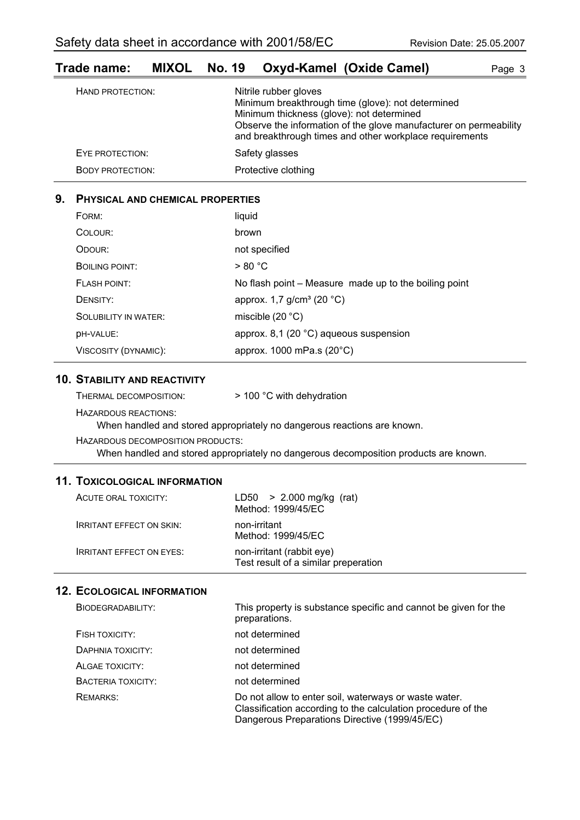| ι ι αυσπιαιτισ.         |                                                                                                                                                                                                                                                         | <b>MIAOL NO. 13 OAYU-RAME (OAIUE CAME!)</b> | raye o |
|-------------------------|---------------------------------------------------------------------------------------------------------------------------------------------------------------------------------------------------------------------------------------------------------|---------------------------------------------|--------|
| HAND PROTECTION:        | Nitrile rubber gloves<br>Minimum breakthrough time (glove): not determined<br>Minimum thickness (glove): not determined<br>Observe the information of the glove manufacturer on permeability<br>and breakthrough times and other workplace requirements |                                             |        |
| EYE PROTECTION:         |                                                                                                                                                                                                                                                         | Safety glasses                              |        |
| <b>BODY PROTECTION:</b> |                                                                                                                                                                                                                                                         | Protective clothing                         |        |
|                         |                                                                                                                                                                                                                                                         |                                             |        |

### **Trade name: MIXOL No. 19 Oxyd-Kamel (Oxide Camel)** Page 3

#### **9. PHYSICAL AND CHEMICAL PROPERTIES**

| FORM:                       | liquid                                                |
|-----------------------------|-------------------------------------------------------|
| COLOUR:                     | brown                                                 |
| ODOUR:                      | not specified                                         |
| BOILING POINT:              | > 80 °C                                               |
| FLASH POINT:                | No flash point – Measure made up to the boiling point |
| DENSITY:                    | approx. 1,7 $g/cm^3$ (20 °C)                          |
| <b>SOLUBILITY IN WATER:</b> | miscible $(20 °C)$                                    |
| DH-VALUE:                   | approx. 8,1 (20 $^{\circ}$ C) aqueous suspension      |
| VISCOSITY (DYNAMIC):        | approx. 1000 mPa.s (20°C)                             |

#### **10. STABILITY AND REACTIVITY**

| THERMAL DECOMPOSITION: | > 100 °C with dehydration |
|------------------------|---------------------------|
|------------------------|---------------------------|

HAZARDOUS REACTIONS:

When handled and stored appropriately no dangerous reactions are known.

HAZARDOUS DECOMPOSITION PRODUCTS: When handled and stored appropriately no dangerous decomposition products are known.

#### **11. TOXICOLOGICAL INFORMATION**

| ACUTE ORAL TOXICITY:            | LD50 $> 2.000$ mg/kg (rat)<br>Method: 1999/45/EC                  |
|---------------------------------|-------------------------------------------------------------------|
| <b>IRRITANT EFFECT ON SKIN:</b> | non-irritant<br>Method: 1999/45/EC                                |
| <b>IRRITANT EFFECT ON EYES:</b> | non-irritant (rabbit eye)<br>Test result of a similar preperation |

| BIODEGRADABILITY:  | This property is substance specific and cannot be given for the<br>preparations.                                                                                       |
|--------------------|------------------------------------------------------------------------------------------------------------------------------------------------------------------------|
| FISH TOXICITY:     | not determined                                                                                                                                                         |
| DAPHNIA TOXICITY:  | not determined                                                                                                                                                         |
| ALGAE TOXICITY:    | not determined                                                                                                                                                         |
| BACTERIA TOXICITY: | not determined                                                                                                                                                         |
| REMARKS:           | Do not allow to enter soil, waterways or waste water.<br>Classification according to the calculation procedure of the<br>Dangerous Preparations Directive (1999/45/EC) |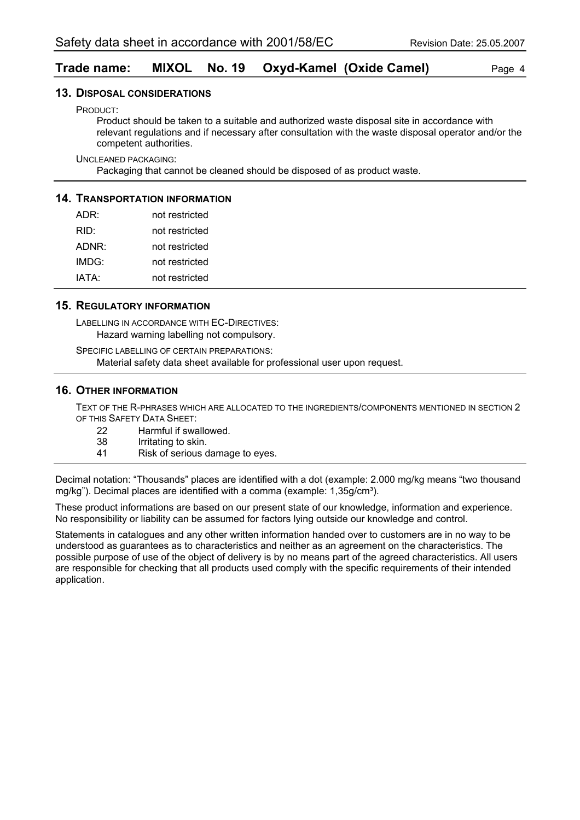#### **Trade name: MIXOL No. 19 Oxyd-Kamel (Oxide Camel)** Page 4

#### **13. DISPOSAL CONSIDERATIONS**

PRODUCT:

Product should be taken to a suitable and authorized waste disposal site in accordance with relevant regulations and if necessary after consultation with the waste disposal operator and/or the competent authorities.

UNCLEANED PACKAGING:

Packaging that cannot be cleaned should be disposed of as product waste.

#### **14. TRANSPORTATION INFORMATION**

| ADR:  | not restricted |
|-------|----------------|
| RID:  | not restricted |
| ADNR: | not restricted |
| IMDG: | not restricted |
| IATA: | not restricted |

#### **15. REGULATORY INFORMATION**

LABELLING IN ACCORDANCE WITH EC-DIRECTIVES: Hazard warning labelling not compulsory.

SPECIFIC LABELLING OF CERTAIN PREPARATIONS: Material safety data sheet available for professional user upon request.

#### **16. OTHER INFORMATION**

TEXT OF THE R-PHRASES WHICH ARE ALLOCATED TO THE INGREDIENTS/COMPONENTS MENTIONED IN SECTION 2 OF THIS SAFETY DATA SHEET:

- 22 Harmful if swallowed.<br>38 Irritating to skin.
- Irritating to skin.
- 41 Risk of serious damage to eyes.

Decimal notation: "Thousands" places are identified with a dot (example: 2.000 mg/kg means "two thousand mg/kg"). Decimal places are identified with a comma (example: 1,35g/cm<sup>3</sup>).

These product informations are based on our present state of our knowledge, information and experience. No responsibility or liability can be assumed for factors lying outside our knowledge and control.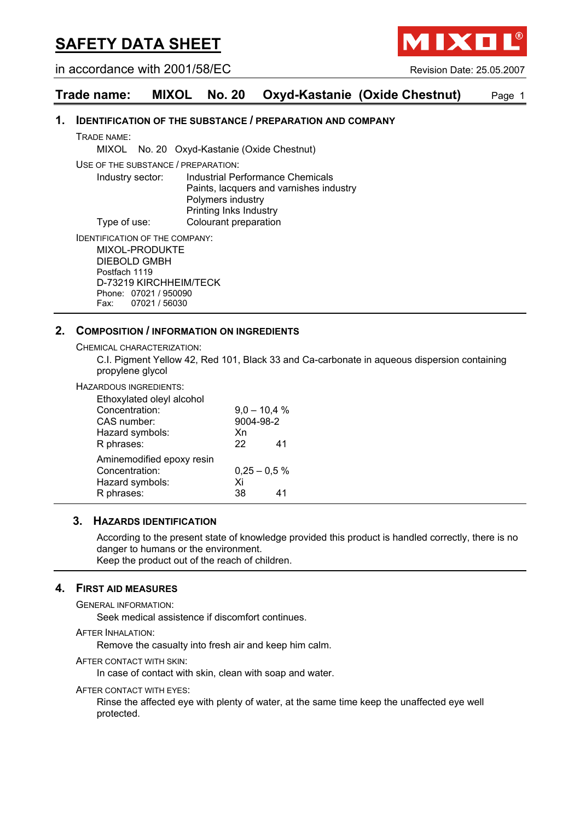in accordance with 2001/58/EC Revision Date: 25.05.2007

**AIXO** 

#### **Trade name: MIXOL No. 20 Oxyd-Kastanie (Oxide Chestnut)** Page 1

#### **1. IDENTIFICATION OF THE SUBSTANCE / PREPARATION AND COMPANY**

TRADE NAME:

MIXOL No. 20 Oxyd-Kastanie (Oxide Chestnut)

USE OF THE SUBSTANCE / PREPARATION:

Industry sector: Industrial Performance Chemicals Paints, lacquers and varnishes industry Polymers industry Printing Inks Industry Type of use: Colourant preparation

IDENTIFICATION OF THE COMPANY:

MIXOL-PRODUKTE DIEBOLD GMBH Postfach 1119 D-73219 KIRCHHEIM/TECK Phone: 07021 / 950090 Fax: 07021 / 56030

#### **2. COMPOSITION / INFORMATION ON INGREDIENTS**

CHEMICAL CHARACTERIZATION:

C.I. Pigment Yellow 42, Red 101, Black 33 and Ca-carbonate in aqueous dispersion containing propylene glycol

#### HAZARDOUS INGREDIENTS:

| Ethoxylated oleyl alcohol |           |                |
|---------------------------|-----------|----------------|
| Concentration:            |           | $9,0 - 10,4 %$ |
| CAS number:               | 9004-98-2 |                |
| Hazard symbols:           | Xn        |                |
| R phrases:                | 22        | 41             |
| Aminemodified epoxy resin |           |                |
| Concentration:            |           | $0,25 - 0,5 %$ |
| Hazard symbols:           | Xi        |                |
| R phrases:                | 38        | 41             |
|                           |           |                |

#### **3. HAZARDS IDENTIFICATION**

According to the present state of knowledge provided this product is handled correctly, there is no danger to humans or the environment.

Keep the product out of the reach of children.

#### **4. FIRST AID MEASURES**

GENERAL INFORMATION:

Seek medical assistence if discomfort continues.

AFTER INHALATION:

Remove the casualty into fresh air and keep him calm.

AFTER CONTACT WITH SKIN:

In case of contact with skin, clean with soap and water.

AFTER CONTACT WITH EYES:

Rinse the affected eye with plenty of water, at the same time keep the unaffected eye well protected.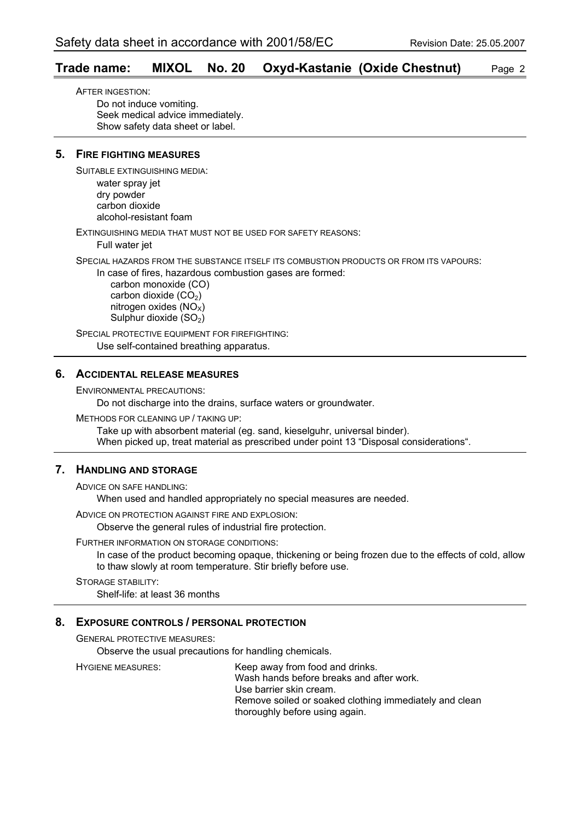#### **Trade name: MIXOL No. 20 Oxyd-Kastanie (Oxide Chestnut)** Page 2

AFTER INGESTION: Do not induce vomiting. Seek medical advice immediately. Show safety data sheet or label.

#### **5. FIRE FIGHTING MEASURES**

SUITABLE EXTINGUISHING MEDIA:

water spray jet dry powder carbon dioxide alcohol-resistant foam

EXTINGUISHING MEDIA THAT MUST NOT BE USED FOR SAFETY REASONS:

Full water jet

SPECIAL HAZARDS FROM THE SUBSTANCE ITSELF ITS COMBUSTION PRODUCTS OR FROM ITS VAPOURS:

In case of fires, hazardous combustion gases are formed:

 carbon monoxide (CO) carbon dioxide  $(CO<sub>2</sub>)$ nitrogen oxides  $(NO<sub>x</sub>)$ Sulphur dioxide (SO<sub>2</sub>)

SPECIAL PROTECTIVE EQUIPMENT FOR FIREFIGHTING: Use self-contained breathing apparatus.

#### **6. ACCIDENTAL RELEASE MEASURES**

ENVIRONMENTAL PRECAUTIONS:

Do not discharge into the drains, surface waters or groundwater.

METHODS FOR CLEANING UP / TAKING UP:

Take up with absorbent material (eg. sand, kieselguhr, universal binder). When picked up, treat material as prescribed under point 13 "Disposal considerations".

#### **7. HANDLING AND STORAGE**

ADVICE ON SAFE HANDLING:

When used and handled appropriately no special measures are needed.

ADVICE ON PROTECTION AGAINST FIRE AND EXPLOSION:

Observe the general rules of industrial fire protection.

#### FURTHER INFORMATION ON STORAGE CONDITIONS:

In case of the product becoming opaque, thickening or being frozen due to the effects of cold, allow to thaw slowly at room temperature. Stir briefly before use.

STORAGE STABILITY: Shelf-life: at least 36 months

#### **8. EXPOSURE CONTROLS / PERSONAL PROTECTION**

GENERAL PROTECTIVE MEASURES:

Observe the usual precautions for handling chemicals.

HYGIENE MEASURES: Keep away from food and drinks. Wash hands before breaks and after work. Use barrier skin cream. Remove soiled or soaked clothing immediately and clean thoroughly before using again.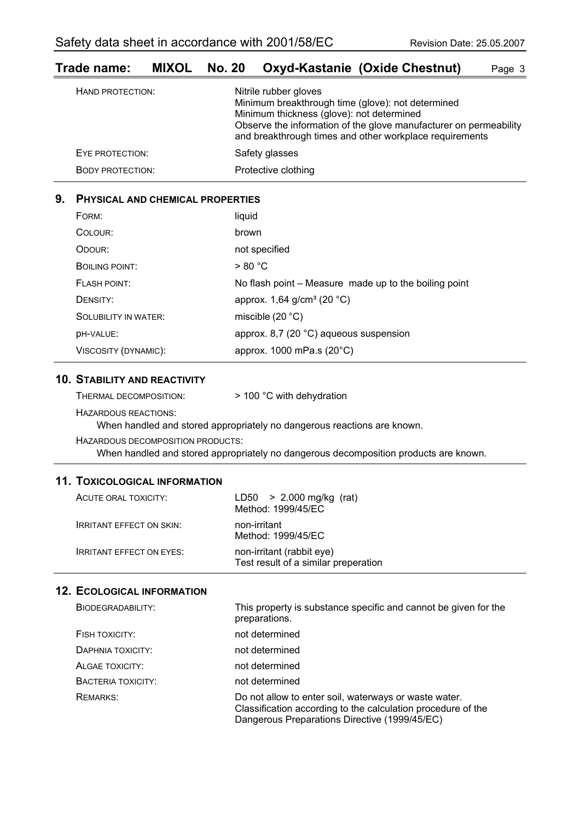| HAND PROTECTION:        | Nitrile rubber gloves<br>Minimum breakthrough time (glove): not determined<br>Minimum thickness (glove): not determined<br>Observe the information of the glove manufacturer on permeability<br>and breakthrough times and other workplace requirements |
|-------------------------|---------------------------------------------------------------------------------------------------------------------------------------------------------------------------------------------------------------------------------------------------------|
| EYE PROTECTION:         | Safety glasses                                                                                                                                                                                                                                          |
| <b>BODY PROTECTION:</b> | Protective clothing                                                                                                                                                                                                                                     |
|                         |                                                                                                                                                                                                                                                         |

#### **Trade name: MIXOL No. 20 Oxyd-Kastanie (Oxide Chestnut)** Page 3

#### **9. PHYSICAL AND CHEMICAL PROPERTIES**

| FORM:                       | liquid                                                |
|-----------------------------|-------------------------------------------------------|
| COLOUR:                     | brown                                                 |
| ODOUR:                      | not specified                                         |
| BOILING POINT:              | > 80 °C                                               |
| FLASH POINT:                | No flash point - Measure made up to the boiling point |
| DENSITY:                    | approx. 1,64 g/cm <sup>3</sup> (20 °C)                |
| <b>SOLUBILITY IN WATER:</b> | miscible $(20 °C)$                                    |
| DH-VALUE:                   | approx. 8,7 (20 $^{\circ}$ C) aqueous suspension      |
| VISCOSITY (DYNAMIC):        | approx. 1000 mPa.s (20°C)                             |

#### **10. STABILITY AND REACTIVITY**

| THERMAL DECOMPOSITION: | > 100 °C with dehydration |
|------------------------|---------------------------|
|------------------------|---------------------------|

HAZARDOUS REACTIONS:

When handled and stored appropriately no dangerous reactions are known.

HAZARDOUS DECOMPOSITION PRODUCTS: When handled and stored appropriately no dangerous decomposition products are known.

#### **11. TOXICOLOGICAL INFORMATION**

| ACUTE ORAL TOXICITY:            | $LD50 > 2.000$ mg/kg (rat)<br>Method: 1999/45/EC                  |
|---------------------------------|-------------------------------------------------------------------|
| <b>IRRITANT EFFECT ON SKIN:</b> | non-irritant<br>Method: 1999/45/EC                                |
| <b>IRRITANT EFFECT ON EYES:</b> | non-irritant (rabbit eye)<br>Test result of a similar preperation |

| BIODEGRADABILITY:         | This property is substance specific and cannot be given for the<br>preparations.                                                                                       |
|---------------------------|------------------------------------------------------------------------------------------------------------------------------------------------------------------------|
| FISH TOXICITY:            | not determined                                                                                                                                                         |
| DAPHNIA TOXICITY:         | not determined                                                                                                                                                         |
| ALGAE TOXICITY:           | not determined                                                                                                                                                         |
| <b>BACTERIA TOXICITY:</b> | not determined                                                                                                                                                         |
| <b>REMARKS:</b>           | Do not allow to enter soil, waterways or waste water.<br>Classification according to the calculation procedure of the<br>Dangerous Preparations Directive (1999/45/EC) |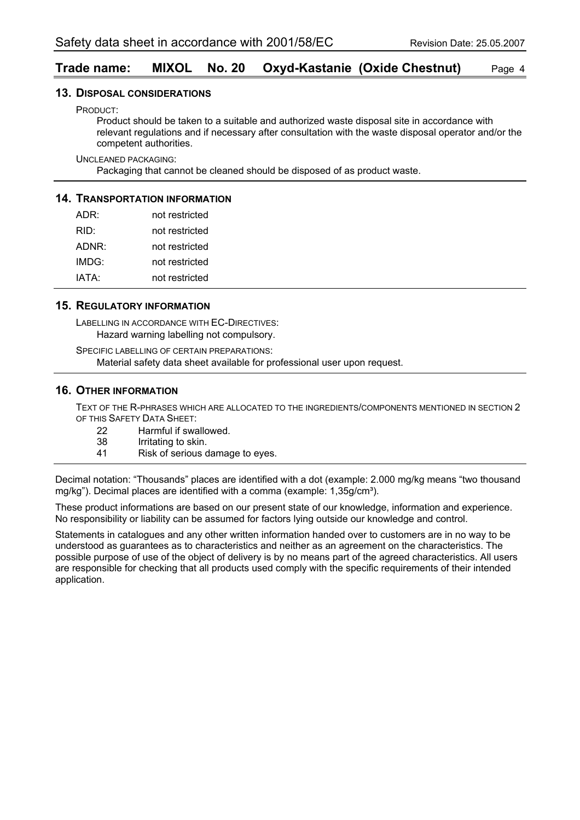#### **Trade name: MIXOL No. 20 Oxyd-Kastanie (Oxide Chestnut)** Page 4

#### **13. DISPOSAL CONSIDERATIONS**

PRODUCT:

Product should be taken to a suitable and authorized waste disposal site in accordance with relevant regulations and if necessary after consultation with the waste disposal operator and/or the competent authorities.

UNCLEANED PACKAGING:

Packaging that cannot be cleaned should be disposed of as product waste.

#### **14. TRANSPORTATION INFORMATION**

| ADR:  | not restricted |
|-------|----------------|
| RID:  | not restricted |
| ADNR: | not restricted |
| IMDG: | not restricted |
| IATA: | not restricted |

#### **15. REGULATORY INFORMATION**

LABELLING IN ACCORDANCE WITH EC-DIRECTIVES: Hazard warning labelling not compulsory.

SPECIFIC LABELLING OF CERTAIN PREPARATIONS: Material safety data sheet available for professional user upon request.

#### **16. OTHER INFORMATION**

TEXT OF THE R-PHRASES WHICH ARE ALLOCATED TO THE INGREDIENTS/COMPONENTS MENTIONED IN SECTION 2 OF THIS SAFETY DATA SHEET:

- 22 Harmful if swallowed.<br>38 Irritating to skin.
- Irritating to skin.
- 41 Risk of serious damage to eyes.

Decimal notation: "Thousands" places are identified with a dot (example: 2.000 mg/kg means "two thousand mg/kg"). Decimal places are identified with a comma (example:  $1,35q/cm<sup>3</sup>$ ).

These product informations are based on our present state of our knowledge, information and experience. No responsibility or liability can be assumed for factors lying outside our knowledge and control.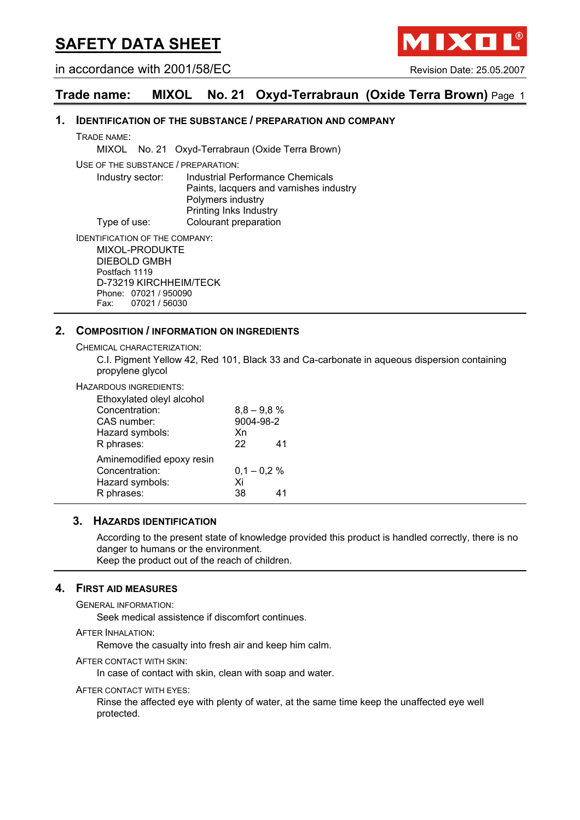in accordance with 2001/58/EC Revision Date: 25.05.2007

IXO

### **Trade name: MIXOL No. 21 Oxyd-Terrabraun (Oxide Terra Brown)** Page 1

#### **1. IDENTIFICATION OF THE SUBSTANCE / PREPARATION AND COMPANY**

TRADE NAME:

MIXOL No. 21 Oxyd-Terrabraun (Oxide Terra Brown)

USE OF THE SUBSTANCE / PREPARATION:

Industry sector: Industrial Performance Chemicals Paints, lacquers and varnishes industry Polymers industry Printing Inks Industry Type of use: Colourant preparation

IDENTIFICATION OF THE COMPANY:

MIXOL-PRODUKTE DIEBOLD GMBH Postfach 1119 D-73219 KIRCHHEIM/TECK Phone: 07021 / 950090 Fax: 07021 / 56030

#### **2. COMPOSITION / INFORMATION ON INGREDIENTS**

CHEMICAL CHARACTERIZATION:

C.I. Pigment Yellow 42, Red 101, Black 33 and Ca-carbonate in aqueous dispersion containing propylene glycol

#### HAZARDOUS INGREDIENTS:

| Ethoxylated oleyl alcohol |               |    |
|---------------------------|---------------|----|
| Concentration:            | $8,8 - 9,8 %$ |    |
| CAS number:               | 9004-98-2     |    |
| Hazard symbols:           | Xn            |    |
| R phrases:                | 22            | 41 |
| Aminemodified epoxy resin |               |    |
| Concentration:            | $0,1 - 0,2%$  |    |
| Hazard symbols:           | Xi            |    |
| R phrases:                | 38.           | 41 |

#### **3. HAZARDS IDENTIFICATION**

According to the present state of knowledge provided this product is handled correctly, there is no danger to humans or the environment.

Keep the product out of the reach of children.

#### **4. FIRST AID MEASURES**

GENERAL INFORMATION:

Seek medical assistence if discomfort continues.

AFTER INHALATION:

Remove the casualty into fresh air and keep him calm.

AFTER CONTACT WITH SKIN:

In case of contact with skin, clean with soap and water.

AFTER CONTACT WITH EYES:

Rinse the affected eye with plenty of water, at the same time keep the unaffected eye well protected.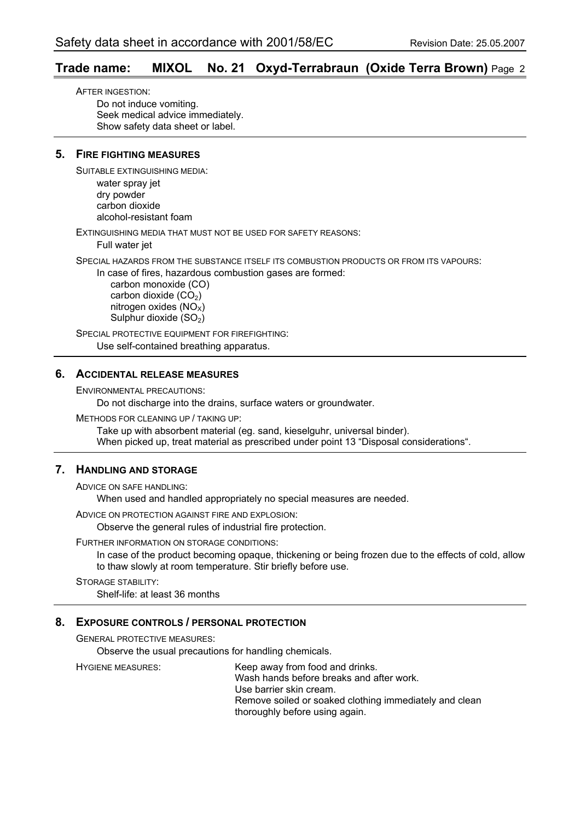#### **Trade name: MIXOL No. 21 Oxyd-Terrabraun (Oxide Terra Brown)** Page 2

AFTER INGESTION: Do not induce vomiting. Seek medical advice immediately. Show safety data sheet or label.

#### **5. FIRE FIGHTING MEASURES**

SUITABLE EXTINGUISHING MEDIA:

water spray jet dry powder carbon dioxide alcohol-resistant foam

EXTINGUISHING MEDIA THAT MUST NOT BE USED FOR SAFETY REASONS:

Full water jet

SPECIAL HAZARDS FROM THE SUBSTANCE ITSELF ITS COMBUSTION PRODUCTS OR FROM ITS VAPOURS:

In case of fires, hazardous combustion gases are formed:

 carbon monoxide (CO) carbon dioxide  $(CO<sub>2</sub>)$ nitrogen oxides  $(NO<sub>x</sub>)$ Sulphur dioxide (SO<sub>2</sub>)

SPECIAL PROTECTIVE EQUIPMENT FOR FIREFIGHTING: Use self-contained breathing apparatus.

#### **6. ACCIDENTAL RELEASE MEASURES**

ENVIRONMENTAL PRECAUTIONS:

Do not discharge into the drains, surface waters or groundwater.

METHODS FOR CLEANING UP / TAKING UP:

Take up with absorbent material (eg. sand, kieselguhr, universal binder). When picked up, treat material as prescribed under point 13 "Disposal considerations".

#### **7. HANDLING AND STORAGE**

ADVICE ON SAFE HANDLING:

When used and handled appropriately no special measures are needed.

ADVICE ON PROTECTION AGAINST FIRE AND EXPLOSION:

Observe the general rules of industrial fire protection.

#### FURTHER INFORMATION ON STORAGE CONDITIONS:

In case of the product becoming opaque, thickening or being frozen due to the effects of cold, allow to thaw slowly at room temperature. Stir briefly before use.

STORAGE STABILITY: Shelf-life: at least 36 months

#### **8. EXPOSURE CONTROLS / PERSONAL PROTECTION**

GENERAL PROTECTIVE MEASURES:

Observe the usual precautions for handling chemicals.

HYGIENE MEASURES: Keep away from food and drinks. Wash hands before breaks and after work. Use barrier skin cream. Remove soiled or soaked clothing immediately and clean thoroughly before using again.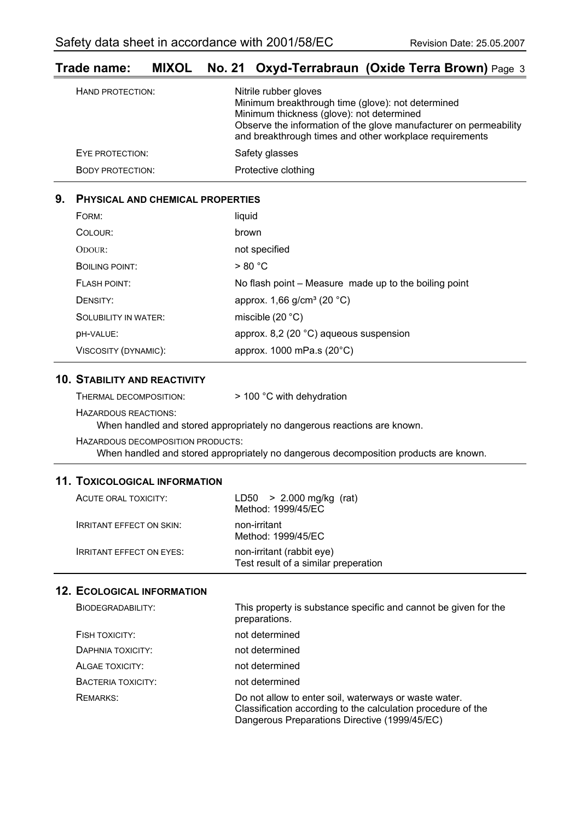### **Trade name: MIXOL No. 21 Oxyd-Terrabraun (Oxide Terra Brown)** Page 3

| HAND PROTECTION:        | Nitrile rubber gloves<br>Minimum breakthrough time (glove): not determined<br>Minimum thickness (glove): not determined<br>Observe the information of the glove manufacturer on permeability<br>and breakthrough times and other workplace requirements |
|-------------------------|---------------------------------------------------------------------------------------------------------------------------------------------------------------------------------------------------------------------------------------------------------|
| EYE PROTECTION:         | Safety glasses                                                                                                                                                                                                                                          |
| <b>BODY PROTECTION:</b> | Protective clothing                                                                                                                                                                                                                                     |

#### **9. PHYSICAL AND CHEMICAL PROPERTIES**

| FORM:                       | liquid                                                |
|-----------------------------|-------------------------------------------------------|
| COLOUR:                     | brown                                                 |
| ODOUR:                      | not specified                                         |
| BOILING POINT:              | > 80 °C                                               |
| FLASH POINT:                | No flash point – Measure made up to the boiling point |
| DENSITY:                    | approx. 1,66 g/cm <sup>3</sup> (20 °C)                |
| <b>SOLUBILITY IN WATER:</b> | miscible $(20 °C)$                                    |
| DH-VALUE:                   | approx. 8,2 (20 $^{\circ}$ C) aqueous suspension      |
| VISCOSITY (DYNAMIC):        | approx. $1000$ mPa.s $(20^{\circ}C)$                  |

#### **10. STABILITY AND REACTIVITY**

| THERMAL DECOMPOSITION: | > 100 °C with dehydration |
|------------------------|---------------------------|
|------------------------|---------------------------|

HAZARDOUS REACTIONS:

When handled and stored appropriately no dangerous reactions are known.

HAZARDOUS DECOMPOSITION PRODUCTS:

When handled and stored appropriately no dangerous decomposition products are known.

#### **11. TOXICOLOGICAL INFORMATION**

| ACUTE ORAL TOXICITY:            | $LD50 > 2.000$ mg/kg (rat)<br>Method: 1999/45/EC                  |
|---------------------------------|-------------------------------------------------------------------|
| <b>IRRITANT EFFECT ON SKIN:</b> | non-irritant<br>Method: 1999/45/EC                                |
| <b>IRRITANT EFFECT ON EYES:</b> | non-irritant (rabbit eye)<br>Test result of a similar preperation |

| BIODEGRADABILITY:  | This property is substance specific and cannot be given for the<br>preparations.                                                                                       |
|--------------------|------------------------------------------------------------------------------------------------------------------------------------------------------------------------|
| FISH TOXICITY:     | not determined                                                                                                                                                         |
| DAPHNIA TOXICITY:  | not determined                                                                                                                                                         |
| ALGAE TOXICITY:    | not determined                                                                                                                                                         |
| BACTERIA TOXICITY: | not determined                                                                                                                                                         |
| REMARKS:           | Do not allow to enter soil, waterways or waste water.<br>Classification according to the calculation procedure of the<br>Dangerous Preparations Directive (1999/45/EC) |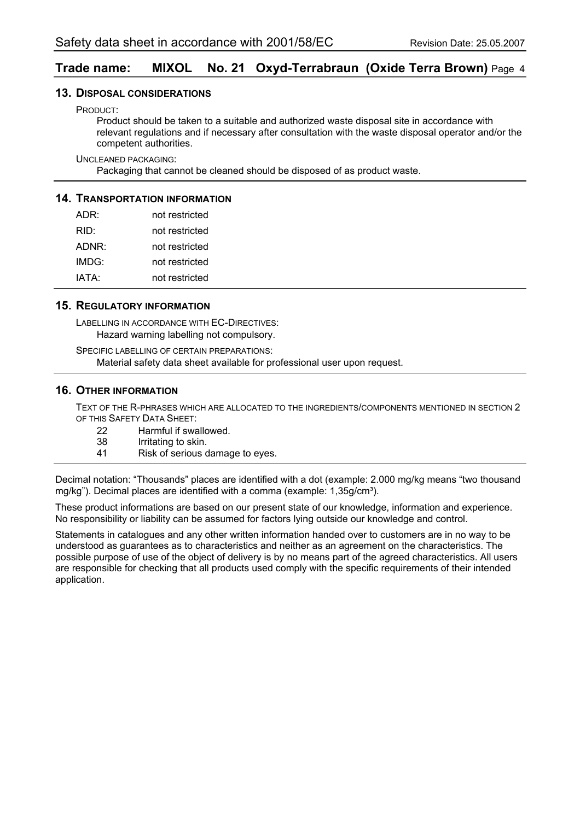#### **Trade name: MIXOL No. 21 Oxyd-Terrabraun (Oxide Terra Brown)** Page 4

#### **13. DISPOSAL CONSIDERATIONS**

PRODUCT:

Product should be taken to a suitable and authorized waste disposal site in accordance with relevant regulations and if necessary after consultation with the waste disposal operator and/or the competent authorities.

UNCLEANED PACKAGING:

Packaging that cannot be cleaned should be disposed of as product waste.

#### **14. TRANSPORTATION INFORMATION**

| ADR:  | not restricted |
|-------|----------------|
| RID:  | not restricted |
| ADNR: | not restricted |
| IMDG: | not restricted |
| IATA: | not restricted |

#### **15. REGULATORY INFORMATION**

LABELLING IN ACCORDANCE WITH EC-DIRECTIVES: Hazard warning labelling not compulsory.

SPECIFIC LABELLING OF CERTAIN PREPARATIONS: Material safety data sheet available for professional user upon request.

#### **16. OTHER INFORMATION**

TEXT OF THE R-PHRASES WHICH ARE ALLOCATED TO THE INGREDIENTS/COMPONENTS MENTIONED IN SECTION 2 OF THIS SAFETY DATA SHEET:

- 22 Harmful if swallowed.<br>38 Irritating to skin.
- 38 Irritating to skin.<br>41 Risk of serious of
- Risk of serious damage to eyes.

Decimal notation: "Thousands" places are identified with a dot (example: 2.000 mg/kg means "two thousand mg/kg"). Decimal places are identified with a comma (example:  $1,35q/cm<sup>3</sup>$ ).

These product informations are based on our present state of our knowledge, information and experience. No responsibility or liability can be assumed for factors lying outside our knowledge and control.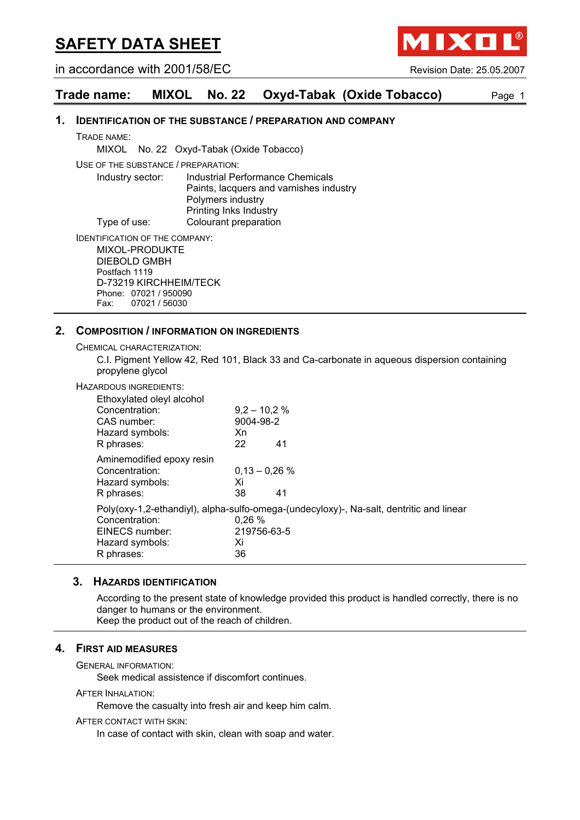in accordance with 2001/58/EC Revision Date: 25.05.2007

**MIXOI** 

#### **Trade name: MIXOL No. 22 Oxyd-Tabak (Oxide Tobacco)** Page 1

#### **1. IDENTIFICATION OF THE SUBSTANCE / PREPARATION AND COMPANY**

TRADE NAME:

MIXOL No. 22 Oxyd-Tabak (Oxide Tobacco)

USE OF THE SUBSTANCE / PREPARATION:

Industry sector: Industrial Performance Chemicals Paints, lacquers and varnishes industry Polymers industry Printing Inks Industry Type of use: Colourant preparation

IDENTIFICATION OF THE COMPANY:

MIXOL-PRODUKTE DIEBOLD GMBH Postfach 1119 D-73219 KIRCHHEIM/TECK Phone: 07021 / 950090 Fax: 07021 / 56030

#### **2. COMPOSITION / INFORMATION ON INGREDIENTS**

CHEMICAL CHARACTERIZATION:

C.I. Pigment Yellow 42, Red 101, Black 33 and Ca-carbonate in aqueous dispersion containing propylene glycol

#### HAZARDOUS INGREDIENTS:

| Ethoxylated oleyl alcohol<br>Concentration:<br>CAS number:<br>Hazard symbols:<br>R phrases: | $9,2 - 10,2%$<br>9004-98-2<br>Xn<br>22 | 41                                                                                      |
|---------------------------------------------------------------------------------------------|----------------------------------------|-----------------------------------------------------------------------------------------|
| Aminemodified epoxy resin<br>Concentration:<br>Hazard symbols:<br>R phrases:                | $0.13 - 0.26$ %<br>Xi<br>38            | 41                                                                                      |
| Concentration:<br>EINECS number:<br>Hazard symbols:<br>R phrases:                           | 0.26%<br>219756-63-5<br>Xi<br>36       | Poly(oxy-1,2-ethandiyl), alpha-sulfo-omega-(undecyloxy)-, Na-salt, dentritic and linear |

#### **3. HAZARDS IDENTIFICATION**

According to the present state of knowledge provided this product is handled correctly, there is no danger to humans or the environment. Keep the product out of the reach of children.

#### **4. FIRST AID MEASURES**

GENERAL INFORMATION:

Seek medical assistence if discomfort continues.

AFTER INHALATION:

Remove the casualty into fresh air and keep him calm.

#### AFTER CONTACT WITH SKIN:

In case of contact with skin, clean with soap and water.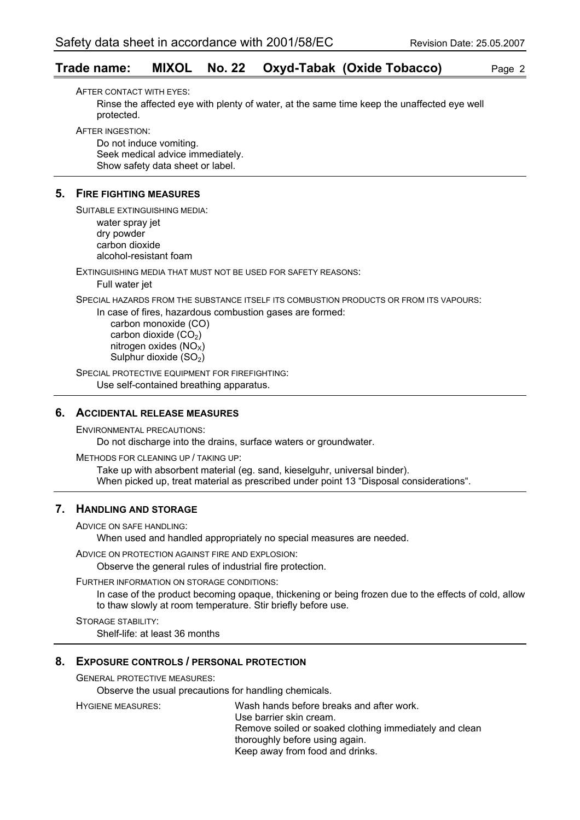#### **Trade name: MIXOL No. 22 Oxyd-Tabak (Oxide Tobacco)** Page 2

AFTER CONTACT WITH EYES: Rinse the affected eye with plenty of water, at the same time keep the unaffected eye well protected.

AFTER INGESTION:

Do not induce vomiting. Seek medical advice immediately. Show safety data sheet or label.

#### **5. FIRE FIGHTING MEASURES**

SUITABLE EXTINGUISHING MEDIA: water spray jet dry powder carbon dioxide alcohol-resistant foam

EXTINGUISHING MEDIA THAT MUST NOT BE USED FOR SAFETY REASONS: Full water jet

SPECIAL HAZARDS FROM THE SUBSTANCE ITSELF ITS COMBUSTION PRODUCTS OR FROM ITS VAPOURS:

In case of fires, hazardous combustion gases are formed:

 carbon monoxide (CO) carbon dioxide  $(CO<sub>2</sub>)$ nitrogen oxides  $(NO<sub>x</sub>)$ Sulphur dioxide (SO<sub>2</sub>)

SPECIAL PROTECTIVE EQUIPMENT FOR FIREFIGHTING: Use self-contained breathing apparatus.

#### **6. ACCIDENTAL RELEASE MEASURES**

ENVIRONMENTAL PRECAUTIONS: Do not discharge into the drains, surface waters or groundwater.

METHODS FOR CLEANING UP / TAKING UP: Take up with absorbent material (eg. sand, kieselguhr, universal binder). When picked up, treat material as prescribed under point 13 "Disposal considerations".

#### **7. HANDLING AND STORAGE**

ADVICE ON SAFE HANDLING:

When used and handled appropriately no special measures are needed.

ADVICE ON PROTECTION AGAINST FIRE AND EXPLOSION:

Observe the general rules of industrial fire protection.

FURTHER INFORMATION ON STORAGE CONDITIONS:

In case of the product becoming opaque, thickening or being frozen due to the effects of cold, allow to thaw slowly at room temperature. Stir briefly before use.

STORAGE STABILITY: Shelf-life: at least 36 months

#### **8. EXPOSURE CONTROLS / PERSONAL PROTECTION**

GENERAL PROTECTIVE MEASURES:

Observe the usual precautions for handling chemicals.

HYGIENE MEASURES: Wash hands before breaks and after work. Use barrier skin cream. Remove soiled or soaked clothing immediately and clean thoroughly before using again. Keep away from food and drinks.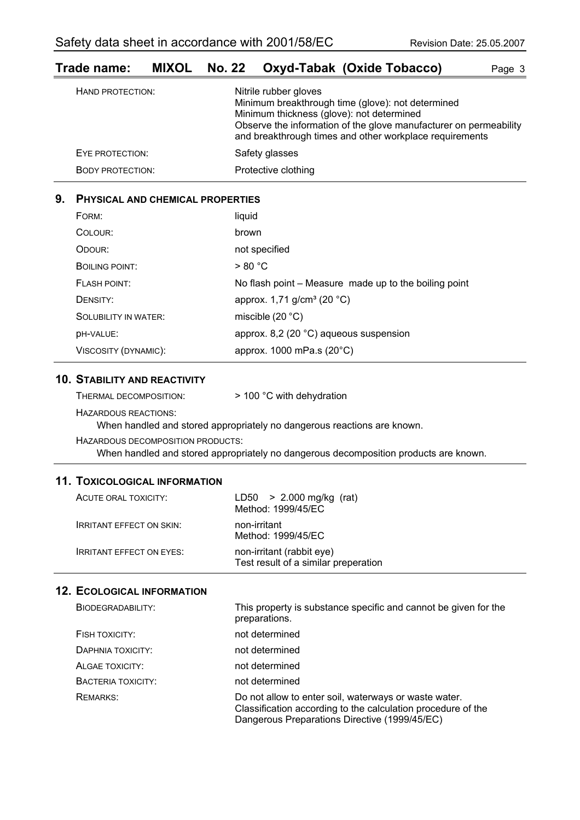| $\blacksquare$          | <b>MIAOL NO.LL OAYU-TUDUR (OAIUU TUDUCUU)</b><br>ayu v                                                                                                                                                                                                  |  |
|-------------------------|---------------------------------------------------------------------------------------------------------------------------------------------------------------------------------------------------------------------------------------------------------|--|
| HAND PROTECTION:        | Nitrile rubber gloves<br>Minimum breakthrough time (glove): not determined<br>Minimum thickness (glove): not determined<br>Observe the information of the glove manufacturer on permeability<br>and breakthrough times and other workplace requirements |  |
| EYE PROTECTION:         | Safety glasses                                                                                                                                                                                                                                          |  |
| <b>BODY PROTECTION:</b> | Protective clothing                                                                                                                                                                                                                                     |  |

### **Trade name: MIXOL No. 22 Oxyd-Tabak (Oxide Tobacco)** Page 3

#### **9. PHYSICAL AND CHEMICAL PROPERTIES**

| FORM:                       | liquid                                                |
|-----------------------------|-------------------------------------------------------|
| COLOUR:                     | brown                                                 |
| ODOUR:                      | not specified                                         |
| <b>BOILING POINT:</b>       | > 80 °C                                               |
| <b>FLASH POINT:</b>         | No flash point – Measure made up to the boiling point |
| DENSITY:                    | approx. 1,71 g/cm <sup>3</sup> (20 °C)                |
| <b>SOLUBILITY IN WATER:</b> | miscible $(20 °C)$                                    |
| DH-VALUE:                   | approx. 8,2 (20 $^{\circ}$ C) aqueous suspension      |
| VISCOSITY (DYNAMIC):        | approx. 1000 mPa.s (20°C)                             |

#### **10. STABILITY AND REACTIVITY**

| THERMAL DECOMPOSITION: | > 100 °C with dehydration |
|------------------------|---------------------------|
|------------------------|---------------------------|

HAZARDOUS REACTIONS:

When handled and stored appropriately no dangerous reactions are known.

HAZARDOUS DECOMPOSITION PRODUCTS: When handled and stored appropriately no dangerous decomposition products are known.

#### **11. TOXICOLOGICAL INFORMATION**

| ACUTE ORAL TOXICITY:            | $LD50 > 2.000$ mg/kg (rat)<br>Method: 1999/45/EC                  |
|---------------------------------|-------------------------------------------------------------------|
| <b>IRRITANT EFFECT ON SKIN:</b> | non-irritant<br>Method: 1999/45/EC                                |
| <b>IRRITANT EFFECT ON EYES:</b> | non-irritant (rabbit eye)<br>Test result of a similar preperation |

| BIODEGRADABILITY:  | This property is substance specific and cannot be given for the<br>preparations.                                                                                       |
|--------------------|------------------------------------------------------------------------------------------------------------------------------------------------------------------------|
| FISH TOXICITY:     | not determined                                                                                                                                                         |
| DAPHNIA TOXICITY:  | not determined                                                                                                                                                         |
| ALGAE TOXICITY:    | not determined                                                                                                                                                         |
| BACTERIA TOXICITY: | not determined                                                                                                                                                         |
| REMARKS:           | Do not allow to enter soil, waterways or waste water.<br>Classification according to the calculation procedure of the<br>Dangerous Preparations Directive (1999/45/EC) |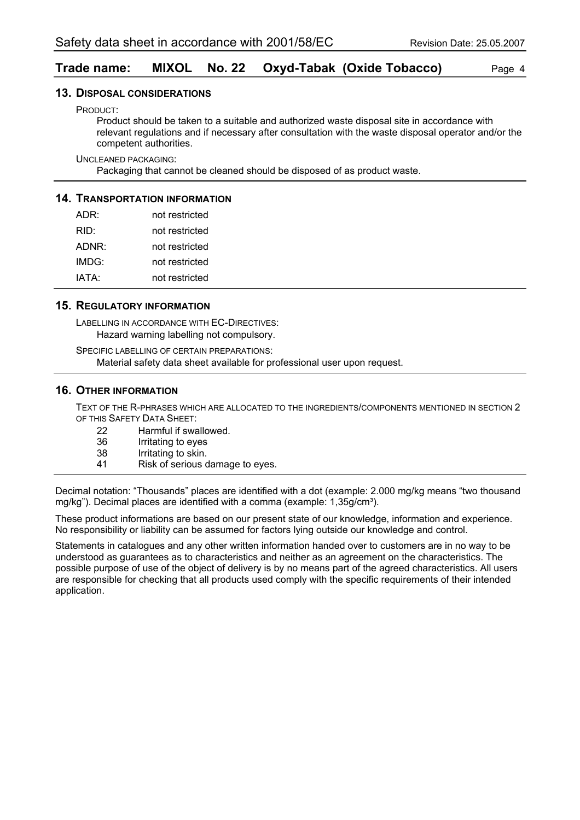#### **Trade name: MIXOL No. 22 Oxyd-Tabak (Oxide Tobacco)** Page 4

#### **13. DISPOSAL CONSIDERATIONS**

PRODUCT:

Product should be taken to a suitable and authorized waste disposal site in accordance with relevant regulations and if necessary after consultation with the waste disposal operator and/or the competent authorities.

UNCLEANED PACKAGING:

Packaging that cannot be cleaned should be disposed of as product waste.

#### **14. TRANSPORTATION INFORMATION**

| ADR:  | not restricted |
|-------|----------------|
| RID:  | not restricted |
| ADNR: | not restricted |
| IMDG: | not restricted |
| IATA: | not restricted |

#### **15. REGULATORY INFORMATION**

LABELLING IN ACCORDANCE WITH EC-DIRECTIVES: Hazard warning labelling not compulsory.

SPECIFIC LABELLING OF CERTAIN PREPARATIONS: Material safety data sheet available for professional user upon request.

#### **16. OTHER INFORMATION**

TEXT OF THE R-PHRASES WHICH ARE ALLOCATED TO THE INGREDIENTS/COMPONENTS MENTIONED IN SECTION 2 OF THIS SAFETY DATA SHEET:

| 22  | Harmful if swallowed. |
|-----|-----------------------|
| 36  | Irritating to eyes    |
| 38  | Irritating to skin.   |
| . . |                       |

41 Risk of serious damage to eyes.

Decimal notation: "Thousands" places are identified with a dot (example: 2.000 mg/kg means "two thousand mg/kg"). Decimal places are identified with a comma (example: 1,35g/cm<sup>3</sup>).

These product informations are based on our present state of our knowledge, information and experience. No responsibility or liability can be assumed for factors lying outside our knowledge and control.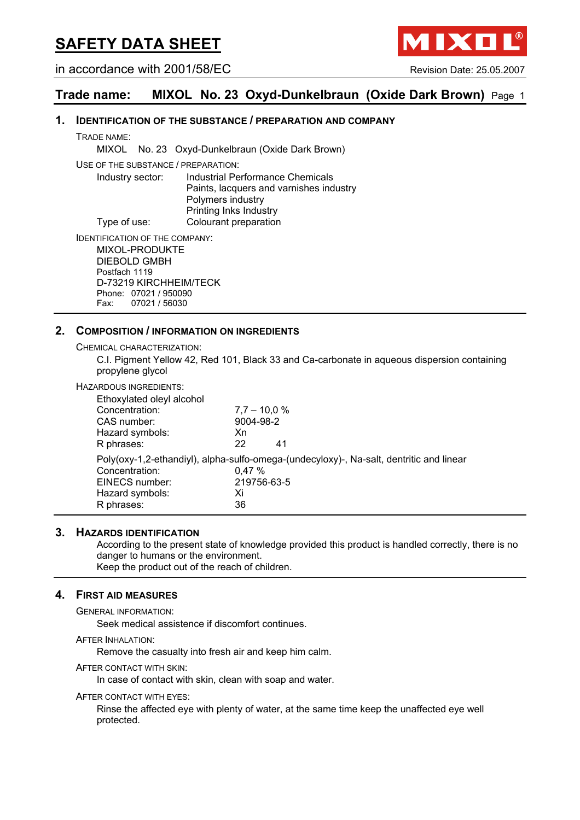in accordance with 2001/58/EC Revision Date: 25.05.2007

**AIXO** 

#### **Trade name: MIXOL No. 23 Oxyd-Dunkelbraun (Oxide Dark Brown)** Page 1

#### **1. IDENTIFICATION OF THE SUBSTANCE / PREPARATION AND COMPANY**

TRADE NAME:

MIXOL No. 23 Oxyd-Dunkelbraun (Oxide Dark Brown)

USE OF THE SUBSTANCE / PREPARATION:

Industry sector: Industrial Performance Chemicals Paints, lacquers and varnishes industry Polymers industry Printing Inks Industry Type of use: Colourant preparation

IDENTIFICATION OF THE COMPANY:

MIXOL-PRODUKTE DIEBOLD GMBH Postfach 1119 D-73219 KIRCHHEIM/TECK Phone: 07021 / 950090 Fax: 07021 / 56030

#### **2. COMPOSITION / INFORMATION ON INGREDIENTS**

CHEMICAL CHARACTERIZATION:

C.I. Pigment Yellow 42, Red 101, Black 33 and Ca-carbonate in aqueous dispersion containing propylene glycol

#### HAZARDOUS INGREDIENTS:

| Ethoxylated oleyl alcohol |                                                                                         |
|---------------------------|-----------------------------------------------------------------------------------------|
| Concentration:            | $7,7 - 10,0 %$                                                                          |
| CAS number:               | 9004-98-2                                                                               |
| Hazard symbols:           | Xn                                                                                      |
| R phrases:                | 22<br>41                                                                                |
|                           | Poly(oxy-1,2-ethandiyl), alpha-sulfo-omega-(undecyloxy)-, Na-salt, dentritic and linear |
| Concentration:            | 0.47%                                                                                   |
| EINECS number:            | 219756-63-5                                                                             |
| Hazard symbols:           | Xi                                                                                      |
| R phrases:                | 36                                                                                      |

#### **3. HAZARDS IDENTIFICATION**

According to the present state of knowledge provided this product is handled correctly, there is no danger to humans or the environment. Keep the product out of the reach of children.

#### **4. FIRST AID MEASURES**

GENERAL INFORMATION:

Seek medical assistence if discomfort continues.

AFTER INHALATION:

Remove the casualty into fresh air and keep him calm.

AFTER CONTACT WITH SKIN:

In case of contact with skin, clean with soap and water.

#### AFTER CONTACT WITH EYES:

Rinse the affected eye with plenty of water, at the same time keep the unaffected eye well protected.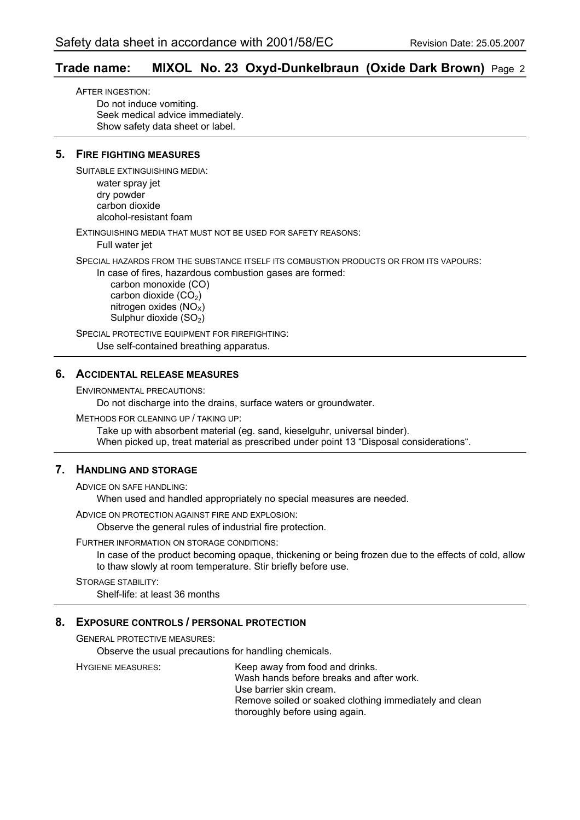#### **Trade name: MIXOL No. 23 Oxyd-Dunkelbraun (Oxide Dark Brown)** Page 2

AFTER INGESTION: Do not induce vomiting. Seek medical advice immediately. Show safety data sheet or label.

#### **5. FIRE FIGHTING MEASURES**

SUITABLE EXTINGUISHING MEDIA:

water spray jet dry powder carbon dioxide alcohol-resistant foam

EXTINGUISHING MEDIA THAT MUST NOT BE USED FOR SAFETY REASONS:

Full water jet

SPECIAL HAZARDS FROM THE SUBSTANCE ITSELF ITS COMBUSTION PRODUCTS OR FROM ITS VAPOURS:

In case of fires, hazardous combustion gases are formed:

 carbon monoxide (CO) carbon dioxide  $(CO<sub>2</sub>)$ nitrogen oxides  $(NO<sub>x</sub>)$ Sulphur dioxide (SO<sub>2</sub>)

SPECIAL PROTECTIVE EQUIPMENT FOR FIREFIGHTING: Use self-contained breathing apparatus.

#### **6. ACCIDENTAL RELEASE MEASURES**

ENVIRONMENTAL PRECAUTIONS:

Do not discharge into the drains, surface waters or groundwater.

METHODS FOR CLEANING UP / TAKING UP:

Take up with absorbent material (eg. sand, kieselguhr, universal binder). When picked up, treat material as prescribed under point 13 "Disposal considerations".

#### **7. HANDLING AND STORAGE**

ADVICE ON SAFE HANDLING:

When used and handled appropriately no special measures are needed.

ADVICE ON PROTECTION AGAINST FIRE AND EXPLOSION:

Observe the general rules of industrial fire protection.

#### FURTHER INFORMATION ON STORAGE CONDITIONS:

In case of the product becoming opaque, thickening or being frozen due to the effects of cold, allow to thaw slowly at room temperature. Stir briefly before use.

STORAGE STABILITY: Shelf-life: at least 36 months

#### **8. EXPOSURE CONTROLS / PERSONAL PROTECTION**

GENERAL PROTECTIVE MEASURES:

Observe the usual precautions for handling chemicals.

HYGIENE MEASURES: Keep away from food and drinks. Wash hands before breaks and after work. Use barrier skin cream. Remove soiled or soaked clothing immediately and clean thoroughly before using again.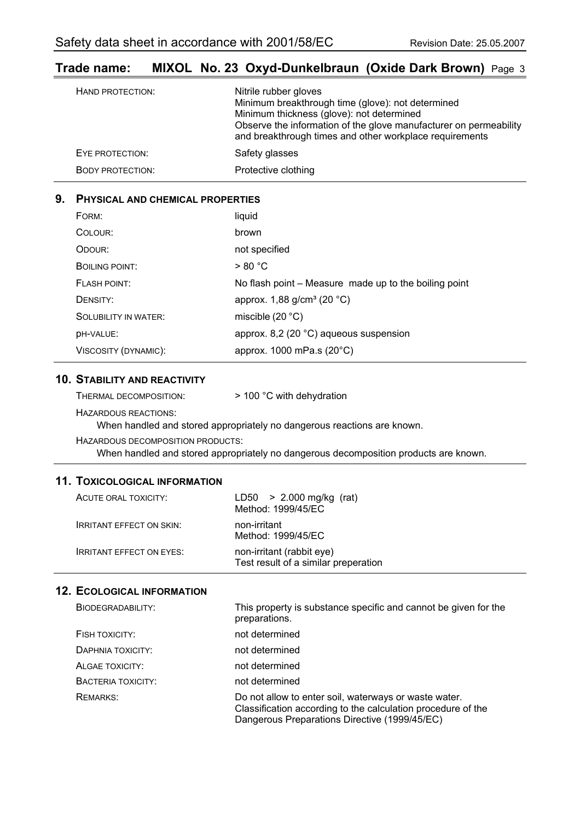### **Trade name: MIXOL No. 23 Oxyd-Dunkelbraun (Oxide Dark Brown)** Page 3

| HAND PROTECTION:        | Nitrile rubber gloves<br>Minimum breakthrough time (glove): not determined<br>Minimum thickness (glove): not determined<br>Observe the information of the glove manufacturer on permeability<br>and breakthrough times and other workplace requirements |
|-------------------------|---------------------------------------------------------------------------------------------------------------------------------------------------------------------------------------------------------------------------------------------------------|
| EYE PROTECTION:         | Safety glasses                                                                                                                                                                                                                                          |
| <b>BODY PROTECTION:</b> | Protective clothing                                                                                                                                                                                                                                     |

#### **9. PHYSICAL AND CHEMICAL PROPERTIES**

| FORM:                       | liquid                                                |
|-----------------------------|-------------------------------------------------------|
| COLOUR:                     | brown                                                 |
| ODOUR:                      | not specified                                         |
| <b>BOILING POINT:</b>       | > 80 °C                                               |
| <b>FLASH POINT:</b>         | No flash point – Measure made up to the boiling point |
| DENSITY:                    | approx. 1,88 g/cm <sup>3</sup> (20 °C)                |
| <b>SOLUBILITY IN WATER:</b> | miscible $(20 °C)$                                    |
| <b>DH-VALUE:</b>            | approx. 8,2 (20 $^{\circ}$ C) aqueous suspension      |
| VISCOSITY (DYNAMIC):        | approx. 1000 mPa.s (20°C)                             |

#### **10. STABILITY AND REACTIVITY**

| THERMAL DECOMPOSITION: | > 100 °C with dehydration |
|------------------------|---------------------------|
|------------------------|---------------------------|

HAZARDOUS REACTIONS:

When handled and stored appropriately no dangerous reactions are known.

HAZARDOUS DECOMPOSITION PRODUCTS: When handled and stored appropriately no dangerous decomposition products are known.

#### **11. TOXICOLOGICAL INFORMATION**

| ACUTE ORAL TOXICITY:            | $LD50 > 2.000$ mg/kg (rat)<br>Method: 1999/45/EC                  |
|---------------------------------|-------------------------------------------------------------------|
| <b>IRRITANT EFFECT ON SKIN:</b> | non-irritant<br>Method: 1999/45/EC                                |
| <b>IRRITANT EFFECT ON EYES:</b> | non-irritant (rabbit eye)<br>Test result of a similar preperation |

| BIODEGRADABILITY:  | This property is substance specific and cannot be given for the<br>preparations.                                                                                       |
|--------------------|------------------------------------------------------------------------------------------------------------------------------------------------------------------------|
| FISH TOXICITY:     | not determined                                                                                                                                                         |
| DAPHNIA TOXICITY:  | not determined                                                                                                                                                         |
| ALGAE TOXICITY:    | not determined                                                                                                                                                         |
| BACTERIA TOXICITY: | not determined                                                                                                                                                         |
| REMARKS:           | Do not allow to enter soil, waterways or waste water.<br>Classification according to the calculation procedure of the<br>Dangerous Preparations Directive (1999/45/EC) |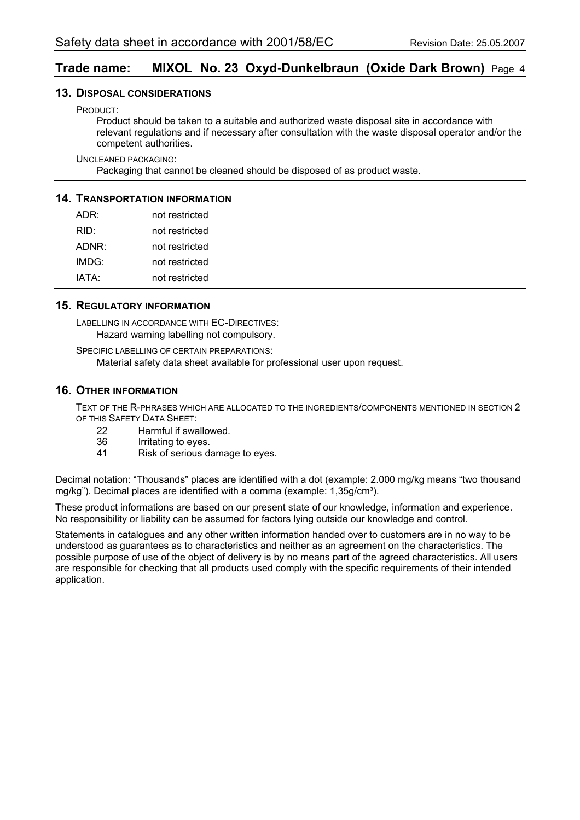#### **Trade name: MIXOL No. 23 Oxyd-Dunkelbraun (Oxide Dark Brown)** Page 4

#### **13. DISPOSAL CONSIDERATIONS**

PRODUCT:

Product should be taken to a suitable and authorized waste disposal site in accordance with relevant regulations and if necessary after consultation with the waste disposal operator and/or the competent authorities.

UNCLEANED PACKAGING:

Packaging that cannot be cleaned should be disposed of as product waste.

#### **14. TRANSPORTATION INFORMATION**

| ADR:  | not restricted |
|-------|----------------|
| RID:  | not restricted |
| ADNR: | not restricted |
| IMDG: | not restricted |
| IATA: | not restricted |

#### **15. REGULATORY INFORMATION**

LABELLING IN ACCORDANCE WITH EC-DIRECTIVES: Hazard warning labelling not compulsory.

SPECIFIC LABELLING OF CERTAIN PREPARATIONS: Material safety data sheet available for professional user upon request.

#### **16. OTHER INFORMATION**

TEXT OF THE R-PHRASES WHICH ARE ALLOCATED TO THE INGREDIENTS/COMPONENTS MENTIONED IN SECTION 2 OF THIS SAFETY DATA SHEET:

- 22 Harmful if swallowed.<br>36 Irritating to eyes.
- 36 Irritating to eyes.<br>41 Risk of serious da
- Risk of serious damage to eyes.

Decimal notation: "Thousands" places are identified with a dot (example: 2.000 mg/kg means "two thousand mg/kg"). Decimal places are identified with a comma (example:  $1,35q/cm<sup>3</sup>$ ).

These product informations are based on our present state of our knowledge, information and experience. No responsibility or liability can be assumed for factors lying outside our knowledge and control.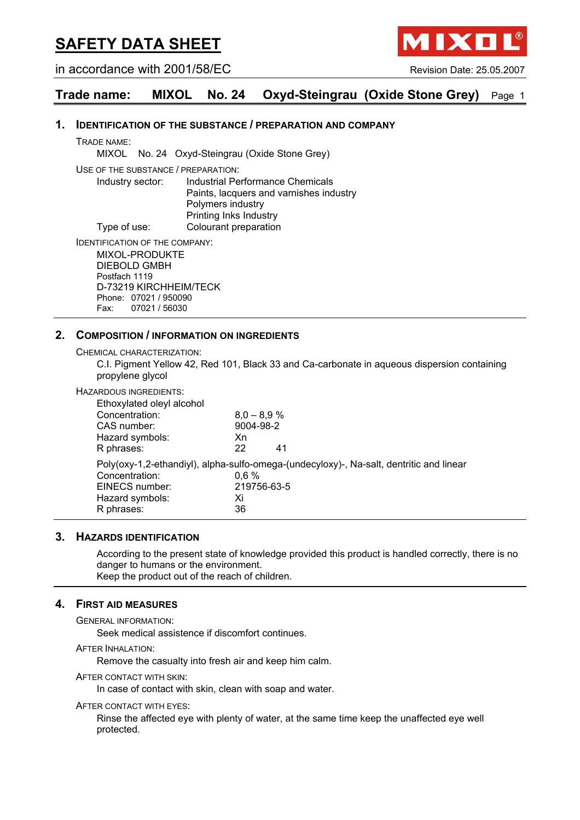in accordance with 2001/58/EC Revision Date: 25.05.2007

1 | X 0 |

### **Trade name: MIXOL No. 24 Oxyd-Steingrau (Oxide Stone Grey)** Page 1

#### **1. IDENTIFICATION OF THE SUBSTANCE / PREPARATION AND COMPANY**

TRADE NAME:

MIXOL No. 24 Oxyd-Steingrau (Oxide Stone Grey)

USE OF THE SUBSTANCE / PREPARATION:

Industry sector: Industrial Performance Chemicals Paints, lacquers and varnishes industry Polymers industry Printing Inks Industry Type of use: Colourant preparation

IDENTIFICATION OF THE COMPANY:

MIXOL-PRODUKTE DIEBOLD GMBH Postfach 1119 D-73219 KIRCHHEIM/TECK Phone: 07021 / 950090 Fax: 07021 / 56030

#### **2. COMPOSITION / INFORMATION ON INGREDIENTS**

CHEMICAL CHARACTERIZATION:

C.I. Pigment Yellow 42, Red 101, Black 33 and Ca-carbonate in aqueous dispersion containing propylene glycol

#### HAZARDOUS INGREDIENTS:

| Xn      |                                                                                         |
|---------|-----------------------------------------------------------------------------------------|
| 22      | 41                                                                                      |
|         | Poly(oxy-1,2-ethandiyl), alpha-sulfo-omega-(undecyloxy)-, Na-salt, dentritic and linear |
| $0.6\%$ |                                                                                         |
|         |                                                                                         |
| Xi      |                                                                                         |
| 36      |                                                                                         |
|         | $8,0 - 8,9 %$<br>9004-98-2<br>219756-63-5                                               |

#### **3. HAZARDS IDENTIFICATION**

According to the present state of knowledge provided this product is handled correctly, there is no danger to humans or the environment.

Keep the product out of the reach of children.

#### **4. FIRST AID MEASURES**

GENERAL INFORMATION:

Seek medical assistence if discomfort continues.

AFTER INHALATION:

Remove the casualty into fresh air and keep him calm.

AFTER CONTACT WITH SKIN:

In case of contact with skin, clean with soap and water.

#### AFTER CONTACT WITH EYES:

Rinse the affected eye with plenty of water, at the same time keep the unaffected eye well protected.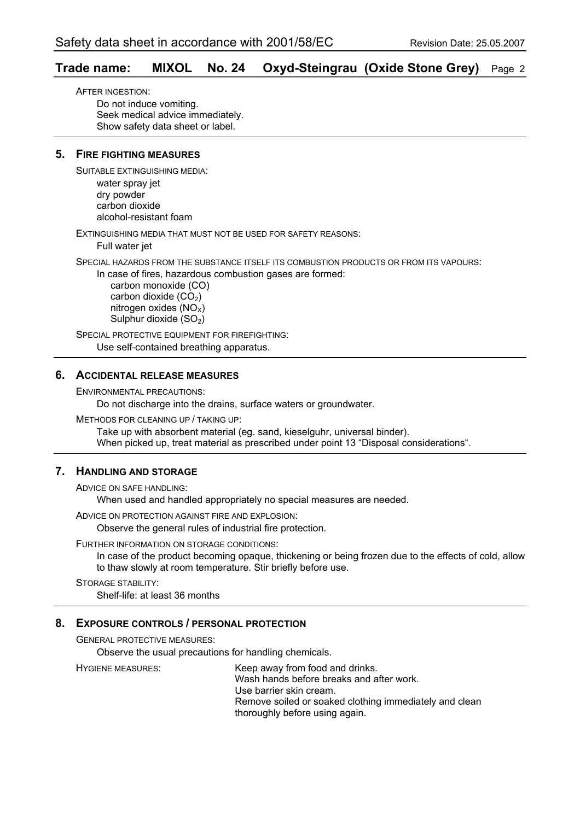#### **Trade name: MIXOL No. 24 Oxyd-Steingrau (Oxide Stone Grey)** Page 2

AFTER INGESTION: Do not induce vomiting. Seek medical advice immediately. Show safety data sheet or label.

#### **5. FIRE FIGHTING MEASURES**

SUITABLE EXTINGUISHING MEDIA:

water spray jet dry powder carbon dioxide alcohol-resistant foam

EXTINGUISHING MEDIA THAT MUST NOT BE USED FOR SAFETY REASONS:

Full water jet

SPECIAL HAZARDS FROM THE SUBSTANCE ITSELF ITS COMBUSTION PRODUCTS OR FROM ITS VAPOURS:

In case of fires, hazardous combustion gases are formed:

 carbon monoxide (CO) carbon dioxide  $(CO<sub>2</sub>)$ nitrogen oxides  $(NO<sub>x</sub>)$ Sulphur dioxide  $(SO<sub>2</sub>)$ 

SPECIAL PROTECTIVE EQUIPMENT FOR FIREFIGHTING: Use self-contained breathing apparatus.

#### **6. ACCIDENTAL RELEASE MEASURES**

ENVIRONMENTAL PRECAUTIONS:

Do not discharge into the drains, surface waters or groundwater.

METHODS FOR CLEANING UP / TAKING UP:

Take up with absorbent material (eg. sand, kieselguhr, universal binder). When picked up, treat material as prescribed under point 13 "Disposal considerations".

#### **7. HANDLING AND STORAGE**

ADVICE ON SAFE HANDLING:

When used and handled appropriately no special measures are needed.

ADVICE ON PROTECTION AGAINST FIRE AND EXPLOSION:

Observe the general rules of industrial fire protection.

#### FURTHER INFORMATION ON STORAGE CONDITIONS:

In case of the product becoming opaque, thickening or being frozen due to the effects of cold, allow to thaw slowly at room temperature. Stir briefly before use.

STORAGE STABILITY:

Shelf-life: at least 36 months

#### **8. EXPOSURE CONTROLS / PERSONAL PROTECTION**

GENERAL PROTECTIVE MEASURES:

Observe the usual precautions for handling chemicals.

HYGIENE MEASURES: Keep away from food and drinks. Wash hands before breaks and after work. Use barrier skin cream. Remove soiled or soaked clothing immediately and clean thoroughly before using again.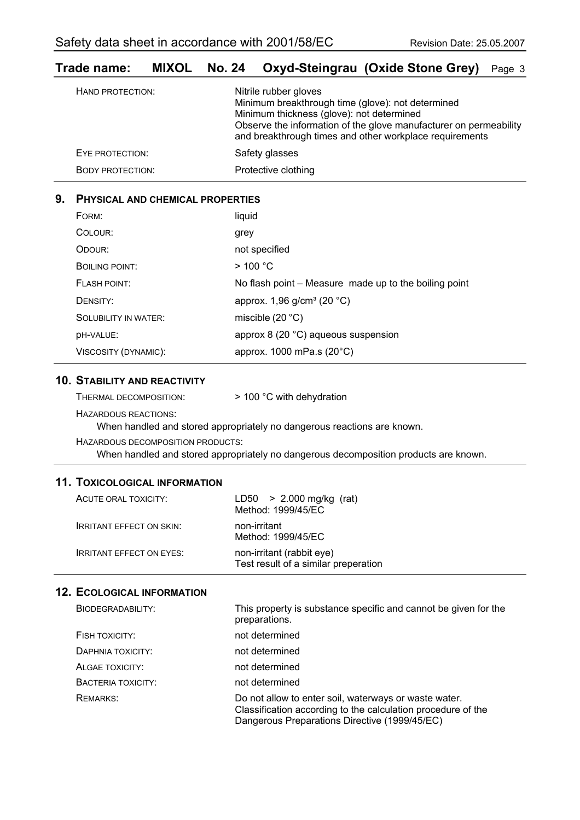#### **Trade name: MIXOL No. 24 Oxyd-Steingrau (Oxide Stone Grey)** Page 3

| HAND PROTECTION:        | Nitrile rubber gloves<br>Minimum breakthrough time (glove): not determined<br>Minimum thickness (glove): not determined<br>Observe the information of the glove manufacturer on permeability<br>and breakthrough times and other workplace requirements |
|-------------------------|---------------------------------------------------------------------------------------------------------------------------------------------------------------------------------------------------------------------------------------------------------|
| EYE PROTECTION:         | Safety glasses                                                                                                                                                                                                                                          |
| <b>BODY PROTECTION:</b> | Protective clothing                                                                                                                                                                                                                                     |

#### **9. PHYSICAL AND CHEMICAL PROPERTIES**

| FORM:                       | liquid                                                |
|-----------------------------|-------------------------------------------------------|
| COLOUR:                     | grey                                                  |
| ODOUR:                      | not specified                                         |
| BOILING POINT:              | $>$ 100 °C                                            |
| <b>FLASH POINT:</b>         | No flash point - Measure made up to the boiling point |
| DENSITY:                    | approx. 1,96 g/cm <sup>3</sup> (20 °C)                |
| <b>SOLUBILITY IN WATER:</b> | miscible $(20 °C)$                                    |
| <b>DH-VALUE:</b>            | approx 8 (20 °C) aqueous suspension                   |
| VISCOSITY (DYNAMIC):        | approx. 1000 mPa.s (20°C)                             |

#### **10. STABILITY AND REACTIVITY**

HAZARDOUS REACTIONS:

When handled and stored appropriately no dangerous reactions are known.

HAZARDOUS DECOMPOSITION PRODUCTS:

When handled and stored appropriately no dangerous decomposition products are known.

#### **11. TOXICOLOGICAL INFORMATION**

| ACUTE ORAL TOXICITY:            | $LD50 > 2.000$ mg/kg (rat)<br>Method: 1999/45/EC                  |
|---------------------------------|-------------------------------------------------------------------|
| <b>IRRITANT EFFECT ON SKIN:</b> | non-irritant<br>Method: 1999/45/EC                                |
| <b>IRRITANT EFFECT ON EYES:</b> | non-irritant (rabbit eye)<br>Test result of a similar preperation |

| BIODEGRADABILITY:  | This property is substance specific and cannot be given for the<br>preparations.                                                                                       |
|--------------------|------------------------------------------------------------------------------------------------------------------------------------------------------------------------|
| FISH TOXICITY:     | not determined                                                                                                                                                         |
| DAPHNIA TOXICITY:  | not determined                                                                                                                                                         |
| ALGAE TOXICITY:    | not determined                                                                                                                                                         |
| BACTERIA TOXICITY: | not determined                                                                                                                                                         |
| <b>REMARKS:</b>    | Do not allow to enter soil, waterways or waste water.<br>Classification according to the calculation procedure of the<br>Dangerous Preparations Directive (1999/45/EC) |